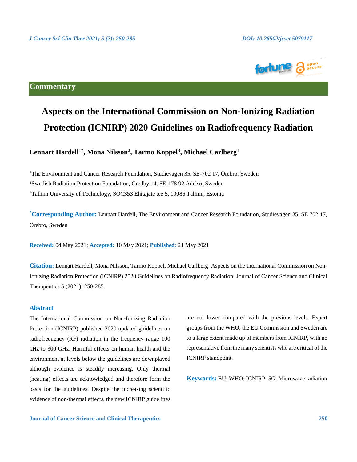

# **Commentary**

# **Aspects on the International Commission on Non-Ionizing Radiation Protection (ICNIRP) 2020 Guidelines on Radiofrequency Radiation**

# **Lennart Hardell1\* , Mona Nilsson<sup>2</sup> , Tarmo Koppel<sup>3</sup> , Michael Carlberg<sup>1</sup>**

<sup>1</sup>The Environment and Cancer Research Foundation, Studievägen 35, SE-702 17, Örebro, Sweden <sup>2</sup>Swedish Radiation Protection Foundation, Gredby 14, SE-178 92 Adelsö, Sweden <sup>3</sup>Tallinn University of Technology, SOC353 Ehitajate tee 5, 19086 Tallinn, Estonia

**\*Corresponding Author:** Lennart Hardell, The Environment and Cancer Research Foundation, Studievägen 35, SE 702 17, Örebro, Sweden

**Received:** 04 May 2021; **Accepted:** 10 May 2021; **Published**: 21 May 2021

**Citation:** Lennart Hardell, Mona Nilsson, Tarmo Koppel, Michael Carlberg. Aspects on the International Commission on Non-Ionizing Radiation Protection (ICNIRP) 2020 Guidelines on Radiofrequency Radiation. Journal of Cancer Science and Clinical Therapeutics 5 (2021): 250-285.

#### **Abstract**

The International Commission on Non-Ionizing Radiation Protection (ICNIRP) published 2020 updated guidelines on radiofrequency (RF) radiation in the frequency range 100 kHz to 300 GHz. Harmful effects on human health and the environment at levels below the guidelines are downplayed although evidence is steadily increasing. Only thermal (heating) effects are acknowledged and therefore form the basis for the guidelines. Despite the increasing scientific evidence of non-thermal effects, the new ICNIRP guidelines

are not lower compared with the previous levels. Expert groups from the WHO, the EU Commission and Sweden are to a large extent made up of members from ICNIRP, with no representative from the many scientists who are critical of the ICNIRP standpoint.

**Keywords:** EU; WHO; ICNIRP; 5G; Microwave radiation

**Journal of Cancer Science and Clinical Therapeutics 250**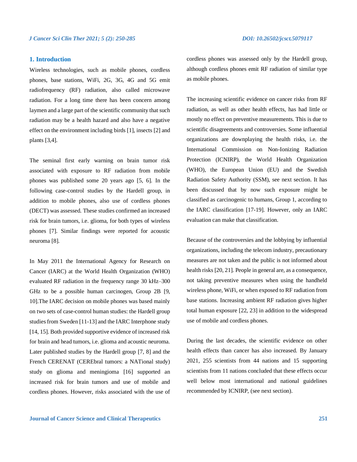### **1. Introduction**

Wireless technologies, such as mobile phones, cordless phones, base stations, WiFi, 2G, 3G, 4G and 5G emit radiofrequency (RF) radiation, also called microwave radiation. For a long time there has been concern among laymen and a large part of the scientific community that such radiation may be a health hazard and also have a negative effect on the environment including birds [1], insects [2] and plants [3,4].

The seminal first early warning on brain tumor risk associated with exposure to RF radiation from mobile phones was published some 20 years ago [5, 6]. In the following case-control studies by the Hardell group, in addition to mobile phones, also use of cordless phones (DECT) was assessed. These studies confirmed an increased risk for brain tumors, i.e. glioma, for both types of wireless phones [7]. Similar findings were reported for acoustic neuroma [8].

In May 2011 the International Agency for Research on Cancer (IARC) at the World Health Organization (WHO) evaluated RF radiation in the frequency range 30 kHz–300 GHz to be a possible human carcinogen, Group 2B [9, 10].The IARC decision on mobile phones was based mainly on two sets of case-control human studies: the Hardell group studies from Sweden [11-13] and the IARC Interphone study [14, 15]. Both provided supportive evidence of increased risk for brain and head tumors, i.e. glioma and acoustic neuroma. Later published studies by the Hardell group [7, 8] and the French CERENAT (CEREbral tumors: a NATional study) study on glioma and meningioma [16] supported an increased risk for brain tumors and use of mobile and cordless phones. However, risks associated with the use of cordless phones was assessed only by the Hardell group, although cordless phones emit RF radiation of similar type as mobile phones.

The increasing scientific evidence on cancer risks from RF radiation, as well as other health effects, has had little or mostly no effect on preventive measurements. This is due to scientific disagreements and controversies. Some influential organizations are downplaying the health risks, i.e. the International Commission on Non-Ionizing Radiation Protection (ICNIRP), the World Health Organization (WHO), the European Union (EU) and the Swedish Radiation Safety Authority (SSM), see next section. It has been discussed that by now such exposure might be classified as carcinogenic to humans, Group 1, according to the IARC classification [17-19]. However, only an IARC evaluation can make that classification.

Because of the controversies and the lobbying by influential organizations, including the telecom industry, precautionary measures are not taken and the public is not informed about health risks [20, 21]. People in general are, as a consequence, not taking preventive measures when using the handheld wireless phone, WiFi, or when exposed to RF radiation from base stations. Increasing ambient RF radiation gives higher total human exposure [22, 23] in addition to the widespread use of mobile and cordless phones.

During the last decades, the scientific evidence on other health effects than cancer has also increased. By January 2021, 255 scientists from 44 nations and 15 supporting scientists from 11 nations concluded that these effects occur well below most international and national guidelines recommended by ICNIRP, (see next section).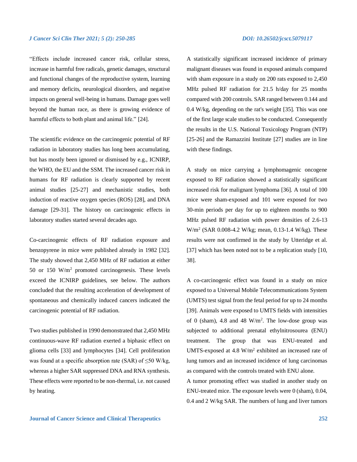"Effects include increased cancer risk, cellular stress, increase in harmful free radicals, genetic damages, structural and functional changes of the reproductive system, learning and memory deficits, neurological disorders, and negative impacts on general well-being in humans. Damage goes well beyond the human race, as there is growing evidence of harmful effects to both plant and animal life." [24].

The scientific evidence on the carcinogenic potential of RF radiation in laboratory studies has long been accumulating, but has mostly been ignored or dismissed by e.g., ICNIRP, the WHO, the EU and the SSM. The increased cancer risk in humans for RF radiation is clearly supported by recent animal studies [25-27] and mechanistic studies, both induction of reactive oxygen species (ROS) [28], and DNA damage [29-31]. The history on carcinogenic effects in laboratory studies started several decades ago.

Co-carcinogenic effects of RF radiation exposure and benzopyrene in mice were published already in 1982 [32]. The study showed that 2,450 MHz of RF radiation at either 50 or 150 W/m<sup>2</sup> promoted carcinogenesis. These levels exceed the ICNIRP guidelines, see below. The authors concluded that the resulting acceleration of development of spontaneous and chemically induced cancers indicated the carcinogenic potential of RF radiation.

Two studies published in 1990 demonstrated that 2,450 MHz continuous-wave RF radiation exerted a biphasic effect on glioma cells [33] and lymphocytes [34]. Cell proliferation was found at a specific absorption rate (SAR) of  $\leq$ 50 W/kg, whereas a higher SAR suppressed DNA and RNA synthesis. These effects were reported to be non-thermal, i.e. not caused by heating.

A statistically significant increased incidence of primary malignant diseases was found in exposed animals compared with sham exposure in a study on 200 rats exposed to 2,450 MHz pulsed RF radiation for 21.5 h/day for 25 months compared with 200 controls. SAR ranged between 0.144 and 0.4 W/kg, depending on the rat's weight [35]. This was one of the first large scale studies to be conducted. Consequently the results in the U.S. National Toxicology Program (NTP) [25-26] and the Ramazzini Institute [27] studies are in line with these findings.

A study on mice carrying a lymphomagenic oncogene exposed to RF radiation showed a statistically significant increased risk for malignant lymphoma [36]. A total of 100 mice were sham-exposed and 101 were exposed for two 30-min periods per day for up to eighteen months to 900 MHz pulsed RF radiation with power densities of 2.6-13 W/m<sup>2</sup> (SAR 0.008-4.2 W/kg; mean, 0.13-1.4 W/kg). These results were not confirmed in the study by Utteridge et al. [37] which has been noted not to be a replication study [10, 38].

A co-carcinogenic effect was found in a study on mice exposed to a Universal Mobile Telecommunications System (UMTS) test signal from the fetal period for up to 24 months [39]. Animals were exposed to UMTS fields with intensities of 0 (sham), 4.8 and 48  $W/m<sup>2</sup>$ . The low-dose group was subjected to additional prenatal ethylnitrosourea (ENU) treatment. The group that was ENU-treated and UMTS-exposed at 4.8  $W/m^2$  exhibited an increased rate of lung tumors and an increased incidence of lung carcinomas as compared with the controls treated with ENU alone.

A tumor promoting effect was studied in another study on ENU-treated mice. The exposure levels were 0 (sham), 0.04, 0.4 and 2 W/kg SAR. The numbers of lung and liver tumors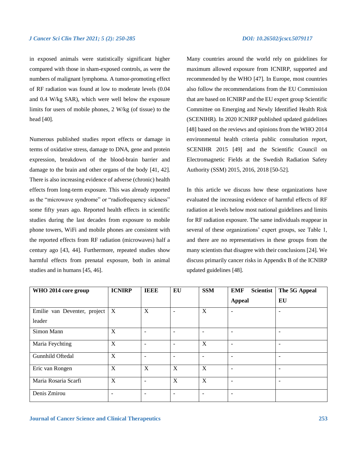in exposed animals were statistically significant higher compared with those in sham-exposed controls, as were the numbers of malignant lymphoma. A tumor-promoting effect of RF radiation was found at low to moderate levels (0.04 and 0.4 W/kg SAR), which were well below the exposure limits for users of mobile phones, 2 W/kg (of tissue) to the head [40].

Numerous published studies report effects or damage in terms of oxidative stress, damage to DNA, gene and protein expression, breakdown of the blood-brain barrier and damage to the brain and other organs of the body [41, 42]. There is also increasing evidence of adverse (chronic) health effects from long-term exposure. This was already reported as the "microwave syndrome" or "radiofrequency sickness" some fifty years ago. Reported health effects in scientific studies during the last decades from exposure to mobile phone towers, WiFi and mobile phones are consistent with the reported effects from RF radiation (microwaves) half a century ago [43, 44]. Furthermore, repeated studies show harmful effects from prenatal exposure, both in animal studies and in humans [45, 46].

Many countries around the world rely on guidelines for maximum allowed exposure from ICNIRP, supported and recommended by the WHO [47]. In Europe, most countries also follow the recommendations from the EU Commission that are based on ICNIRP and the EU expert group Scientific Committee on Emerging and Newly Identified Health Risk (SCENIHR). In 2020 ICNIRP published updated guidelines [48] based on the reviews and opinions from the WHO 2014 environmental health criteria public consultation report, SCENIHR 2015 [49] and the Scientific Council on Electromagnetic Fields at the Swedish Radiation Safety Authority (SSM) 2015, 2016, 2018 [50-52].

In this article we discuss how these organizations have evaluated the increasing evidence of harmful effects of RF radiation at levels below most national guidelines and limits for RF radiation exposure. The same individuals reappear in several of these organizations' expert groups, see Table 1, and there are no representatives in these groups from the many scientists that disagree with their conclusions [24]. We discuss primarily cancer risks in Appendix B of the ICNIRP updated guidelines [48].

| WHO 2014 core group          | <b>ICNIRP</b>            | <b>IEEE</b> | EU                       | <b>SSM</b>               | <b>Scientist</b><br><b>EMF</b> | The 5G Appeal |
|------------------------------|--------------------------|-------------|--------------------------|--------------------------|--------------------------------|---------------|
|                              |                          |             |                          |                          | <b>Appeal</b>                  | EU            |
| Emilie van Deventer, project | X                        | X           | $\overline{\phantom{0}}$ | X                        | $\overline{\phantom{a}}$       |               |
| leader                       |                          |             |                          |                          |                                |               |
| Simon Mann                   | X                        | ۰           | $\overline{\phantom{a}}$ | $\qquad \qquad -$        | $\overline{\phantom{a}}$       |               |
| Maria Feychting              | X                        | ۰           | $\overline{\phantom{0}}$ | X                        | $\overline{\phantom{a}}$       |               |
| Gunnhild Oftedal             | $\mathbf X$              | ۰           | $\overline{\phantom{0}}$ | $\overline{\phantom{a}}$ | $\overline{\phantom{0}}$       |               |
| Eric van Rongen              | X                        | $\mathbf X$ | $\mathbf X$              | X                        |                                |               |
| Maria Rosaria Scarfi         | X                        | ٠           | X                        | $\mathbf{X}$             | $\overline{\phantom{0}}$       |               |
| Denis Zmirou                 | $\overline{\phantom{a}}$ | -           | -                        | -                        | $\overline{\phantom{a}}$       |               |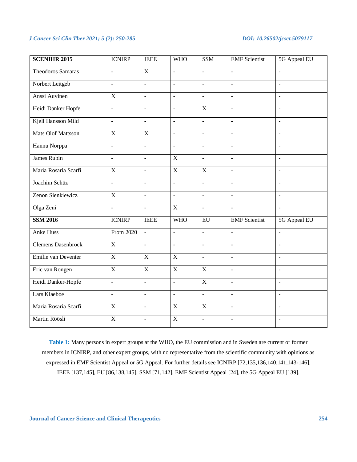| <b>SCENIHR 2015</b>       | <b>ICNIRP</b>            | <b>IEEE</b>              | <b>WHO</b>               | SSM                      | <b>EMF</b> Scientist     | 5G Appeal EU             |
|---------------------------|--------------------------|--------------------------|--------------------------|--------------------------|--------------------------|--------------------------|
| <b>Theodoros Samaras</b>  | $\overline{\phantom{a}}$ | $\overline{X}$           | $\overline{a}$           | $\overline{\phantom{a}}$ | $\overline{a}$           | $\overline{a}$           |
| Norbert Leitgeb           | $\blacksquare$           | $\overline{a}$           | $\blacksquare$           | $\blacksquare$           | $\blacksquare$           | $\blacksquare$           |
| Anssi Auvinen             | X                        | $\overline{\phantom{a}}$ | $\overline{\phantom{a}}$ | $\overline{\phantom{a}}$ | $\omega$                 | $\overline{a}$           |
| Heidi Danker Hopfe        | $\Box$                   | $\overline{a}$           | $\bar{\phantom{a}}$      | $\mathbf X$              | $\overline{\phantom{a}}$ | $\overline{a}$           |
| Kjell Hansson Mild        | $\overline{a}$           | $\overline{\phantom{a}}$ | $\overline{\phantom{a}}$ | $\mathbf{r}$             | $\overline{\phantom{a}}$ | $\overline{a}$           |
| <b>Mats Olof Mattsson</b> | $\overline{X}$           | $\overline{X}$           | $\bar{\mathcal{L}}$      | $\omega$                 | $\equiv$                 | $\bar{\phantom{a}}$      |
| Hannu Norppa              | $\overline{\phantom{a}}$ | $\overline{a}$           | $\overline{\phantom{a}}$ | $\overline{\phantom{a}}$ | $\sim$                   | $\overline{a}$           |
| <b>James Rubin</b>        | $\Box$                   | $\overline{\phantom{a}}$ | $\mathbf X$              | $\equiv$                 | $\overline{\phantom{a}}$ | $\ddot{\phantom{1}}$     |
| Maria Rosaria Scarfi      | $\mathbf X$              | $\overline{\phantom{a}}$ | $\overline{X}$           | $\overline{X}$           | $\omega$                 | $\overline{a}$           |
| Joachim Schüz             | $\Box$                   | $\sim$                   | $\bar{\mathcal{L}}$      | $\omega$                 | $\sim$                   | $\overline{\phantom{a}}$ |
| Zenon Sienkiewicz         | $\mathbf X$              | $\omega$                 | $\Box$                   | $\equiv$                 | $\sim$                   | $\overline{\phantom{a}}$ |
| Olga Zeni                 | $\overline{a}$           | $\sim$                   | $\overline{X}$           | $\overline{a}$           | $\overline{a}$           | $\overline{a}$           |
| <b>SSM 2016</b>           | <b>ICNIRP</b>            | <b>IEEE</b>              | <b>WHO</b>               | EU                       | <b>EMF</b> Scientist     | 5G Appeal EU             |
| <b>Anke Huss</b>          | From 2020                | $\overline{a}$           | $\ddot{\phantom{a}}$     | $\mathbf{r}$             | $\mathbf{r}$             | $\overline{a}$           |
| <b>Clemens Dasenbrock</b> | $\overline{X}$           | $\mathbf{L}$             | $\overline{a}$           | $\mathbf{r}$             | $\overline{a}$           | $\overline{a}$           |
| Emilie van Deventer       | $\mathbf X$              | $\mathbf X$              | $\mathbf X$              | $\omega$                 | $\omega$                 | $\bar{\phantom{a}}$      |
| Eric van Rongen           | $\overline{\mathbf{X}}$  | $\overline{X}$           | $\overline{X}$           | $\overline{X}$           | $\overline{a}$           | $\overline{a}$           |
| Heidi Danker-Hopfe        | $\Box$                   | $\mathbb{Z}$             | $\Box$                   | $\mathbf X$              | $\equiv$                 | ÷,                       |
| Lars Klaeboe              | $\overline{a}$           | $\overline{\phantom{a}}$ | $\Box$                   | $\omega$                 | $\bar{\phantom{a}}$      | $\Box$                   |
| Maria Rosaria Scarfi      | $\overline{X}$           | $\sim$                   | $\overline{X}$           | $\overline{X}$           | $\mathbf{r}$             | $\overline{a}$           |
| Martin Röösli             | $\mathbf X$              | $\equiv$                 | $\mathbf X$              | $\omega$                 | $\bar{\phantom{a}}$      | $\overline{\phantom{a}}$ |

**Table 1:** Many persons in expert groups at the WHO, the EU commission and in Sweden are current or former members in ICNIRP, and other expert groups, with no representative from the scientific community with opinions as expressed in EMF Scientist Appeal or 5G Appeal. For further details see ICNIRP [72,135,136,140,141,143-146], IEEE [137,145], EU [86,138,145], SSM [71,142], EMF Scientist Appeal [24], the 5G Appeal EU [139].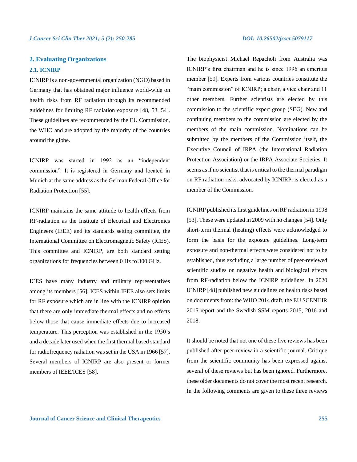### **2. Evaluating Organizations**

### **2.1. ICNIRP**

ICNIRP is a non-governmental organization (NGO) based in Germany that has obtained major influence world-wide on health risks from RF radiation through its recommended guidelines for limiting RF radiation exposure [48, 53, 54]. These guidelines are recommended by the EU Commission, the WHO and are adopted by the majority of the countries around the globe.

ICNIRP was started in 1992 as an "independent commission". It is registered in Germany and located in Munich at the same address as the German Federal Office for Radiation Protection [55].

ICNIRP maintains the same attitude to health effects from RF-radiation as the Institute of Electrical and Electronics Engineers (IEEE) and its standards setting committee, the International Committee on Electromagnetic Safety (ICES). This committee and ICNIRP, are both standard setting organizations for frequencies between 0 Hz to 300 GHz.

ICES have many industry and military representatives among its members [56]. ICES within IEEE also sets limits for RF exposure which are in line with the ICNIRP opinion that there are only immediate thermal effects and no effects below those that cause immediate effects due to increased temperature. This perception was established in the 1950's and a decade later used when the first thermal based standard for radiofrequency radiation was set in the USA in 1966 [57]. Several members of ICNIRP are also present or former members of IEEE/ICES [58].

The biophysicist Michael Repacholi from Australia was ICNIRP's first chairman and he is since 1996 an emeritus member [59]. Experts from various countries constitute the "main commission" of ICNIRP; a chair, a vice chair and 11 other members. Further scientists are elected by this commission to the scientific expert group (SEG). New and continuing members to the commission are elected by the members of the main commission. Nominations can be submitted by the members of the Commission itself, the Executive Council of IRPA (the International Radiation Protection Association) or the IRPA Associate Societies. It seems as if no scientist that is critical to the thermal paradigm on RF radiation risks, advocated by ICNIRP, is elected as a member of the Commission.

ICNIRP published its first guidelines on RF radiation in 1998 [53]. These were updated in 2009 with no changes [54]. Only short-term thermal (heating) effects were acknowledged to form the basis for the exposure guidelines. Long-term exposure and non-thermal effects were considered not to be established, thus excluding a large number of peer-reviewed scientific studies on negative health and biological effects from RF-radiation below the ICNIRP guidelines. In 2020 ICNIRP [48] published new guidelines on health risks based on documents from: the WHO 2014 draft, the EU SCENIHR 2015 report and the Swedish SSM reports 2015, 2016 and 2018.

It should be noted that not one of these five reviews has been published after peer-review in a scientific journal. Critique from the scientific community has been expressed against several of these reviews but has been ignored. Furthermore, these older documents do not cover the most recent research. In the following comments are given to these three reviews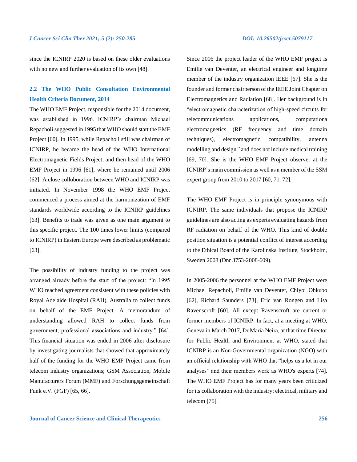since the ICNIRP 2020 is based on these older evaluations with no new and further evaluation of its own [48].

# **2.2 The WHO Public Consultation Environmental Health Criteria Document, 2014**

The WHO EMF Project, responsible for the 2014 document, was established in 1996. ICNIRP's chairman Michael Repacholi suggested in 1995 that WHO should start the EMF Project [60]. In 1995, while Repacholi still was chairman of ICNIRP, he became the head of the WHO International Electromagnetic Fields Project, and then head of the WHO EMF Project in 1996 [61], where he remained until 2006 [62]. A close colloboration between WHO and ICNIRP was initiated. In November 1998 the WHO EMF Project commenced a process aimed at the harmonization of EMF standards worldwide according to the ICNIRP guidelines [63]. Benefits to trade was given as one main argument to this specific project. The 100 times lower limits (compared to ICNIRP) in Eastern Europe were described as problematic [63].

The possibility of industry funding to the project was arranged already before the start of the project: "In 1995 WHO reached agreement consistent with these policies with Royal Adelaide Hospital (RAH), Australia to collect funds on behalf of the EMF Project. A memorandum of understanding allowed RAH to collect funds from government, professional associations and industry." [64]. This financial situation was ended in 2006 after disclosure by investigating journalists that showed that approximately half of the funding for the WHO EMF Project came from telecom industry organizations; GSM Association, Mobile Manufacturers Forum (MMF) and Forschungsgemeinschaft Funk e.V. (FGF) [65, 66].

Since 2006 the project leader of the WHO EMF project is Emilie van Deventer, an electrical engineer and longtime member of the industry organization IEEE [67]. She is the founder and former chairperson of the IEEE Joint Chapter on Electromagnetics and Radiation [68]. Her background is in "electromagnetic characterization of high-speed circuits for telecommunications applications, computationa electromagnetics (RF frequency and time domain techniques), electromagnetic compatibility, antenna modelling and design*"* and does not include medical training [69, 70]. She is the WHO EMF Project observer at the ICNIRP's main commission as well as a member of the SSM expert group from 2010 to 2017 [60, 71, 72].

The WHO EMF Project is in principle synonymous with ICNIRP. The same individuals that propose the ICNIRP guidelines are also acting as experts evaluating hazards from RF radiation on behalf of the WHO. This kind of double position situation is a potential conflict of interest according to the Ethical Board of the Karolinska Institute, Stockholm, Sweden 2008 (Dnr 3753-2008-609).

In 2005-2006 the personnel at the WHO EMF Project were Michael Repacholi, Emilie van Deventer, Chiyoi Ohkubo [62], Richard Saunders [73], Eric van Rongen and Lisa Ravenscroft [60]. All except Ravenscroft are current or former members of ICNIRP. In fact, at a meeting at WHO, Geneva in March 2017, Dr Maria Neira, at that time Director for Public Health and Environment at WHO, stated that ICNIRP is an Non-Governmental organization (NGO) with an official relationship with WHO that "helps us a lot in our analyses" and their members work as WHO's experts [74]. The WHO EMF Project has for many years been criticized for its collaboration with the industry; electrical, military and telecom [75].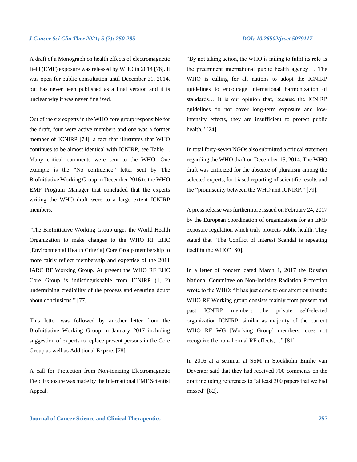A draft of a Monograph on health effects of electromagnetic field (EMF) exposure was released by WHO in 2014 [76]. It was open for public consultation until December 31, 2014, but has never been published as a final version and it is unclear why it was never finalized.

Out of the six experts in the WHO core group responsible for the draft, four were active members and one was a former member of ICNIRP [74], a fact that illustrates that WHO continues to be almost identical with ICNIRP, see Table 1. Many critical comments were sent to the WHO. One example is the "No confidence" letter sent by The BioInitiative Working Group in December 2016 to the WHO EMF Program Manager that concluded that the experts writing the WHO draft were to a large extent ICNIRP members.

"The BioInitiative Working Group urges the World Health Organization to make changes to the WHO RF EHC [Environmental Health Criteria] Core Group membership to more fairly reflect membership and expertise of the 2011 IARC RF Working Group. At present the WHO RF EHC Core Group is indistinguishable from ICNIRP (1, 2) undermining credibility of the process and ensuring doubt about conclusions." [77].

This letter was followed by another letter from the BioInitiative Working Group in January 2017 including suggestion of experts to replace present persons in the Core Group as well as Additional Experts [78].

A call for Protection from Non-ionizing Electromagnetic Field Exposure was made by the International EMF Scientist Appeal.

"By not taking action, the WHO is failing to fulfil its role as the preeminent international public health agency…. The WHO is calling for all nations to adopt the ICNIRP guidelines to encourage international harmonization of standards… It is our opinion that, because the ICNIRP guidelines do not cover long-term exposure and lowintensity effects, they are insufficient to protect public health." [24].

In total forty-seven NGOs also submitted a critical statement regarding the WHO draft on December 15, 2014. The WHO draft was criticized for the absence of pluralism among the selected experts, for biased reporting of scientific results and the "promiscuity between the WHO and ICNIRP." [79].

A press release was furthermore issued on February 24, 2017 by the European coordination of organizations for an EMF exposure regulation which truly protects public health. They stated that "The Conflict of Interest Scandal is repeating itself in the WHO" [80].

In a letter of concern dated March 1, 2017 the Russian National Committee on Non-Ionizing Radiation Protection wrote to the WHO: "It has just come to our attention that the WHO RF Working group consists mainly from present and past ICNIRP members.….the private self-elected organization ICNIRP, similar as majority of the current WHO RF WG [Working Group] members, does not recognize the non-thermal RF effects,…" [81].

In 2016 at a seminar at SSM in Stockholm Emilie van Deventer said that they had received 700 comments on the draft including references to "at least 300 papers that we had missed" [82].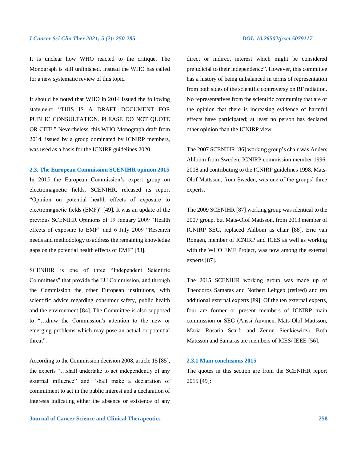It is unclear how WHO reacted to the critique. The Monograph is still unfinished. Instead the WHO has called for a new systematic review of this topic.

It should be noted that WHO in 2014 issued the following statement: "THIS IS A DRAFT DOCUMENT FOR PUBLIC CONSULTATION. PLEASE DO NOT QUOTE OR CITE." Nevertheless, this WHO Monograph draft from 2014, issued by a group dominated by ICNIRP members, was used as a basis for the ICNIRP guidelines 2020.

#### **2.3. The European Commission SCENIHR opinion 2015**

In 2015 the European Commission's expert group on electromagnetic fields, SCENIHR, released its report "Opinion on potential health effects of exposure to electromagnetic fields (EMF)" [49]. It was an update of the previous SCENIHR Opinions of 19 January 2009 "Health effects of exposure to EMF" and 6 July 2009 "Research needs and methodology to address the remaining knowledge gaps on the potential health effects of EMF" [83].

SCENIHR is one of three "Independent Scientific Committees" that provide the EU Commission, and through the Commission the other European institutions, with scientific advice regarding consumer safety, public health and the environment [84]. The Committee is also supposed to "…draw the Commission's attention to the new or emerging problems which may pose an actual or potential threat".

According to the Commission decision 2008, article 15 [85], the experts "…shall undertake to act independently of any external influence" and "shall make a declaration of commitment to act in the public interest and a declaration of interests indicating either the absence or existence of any

**Journal of Cancer Science and Clinical Therapeutics 258**

direct or indirect interest which might be considered prejudicial to their independence". However, this committee has a history of being unbalanced in terms of representation from both sides of the scientific controversy on RF radiation. No representatives from the scientific community that are of the opinion that there is increasing evidence of harmful effects have participated; at least no person has declared other opinion than the ICNIRP view.

The 2007 SCENIHR [86] working group's chair was Anders Ahlbom from Sweden, ICNIRP commission member 1996- 2008 and contributing to the ICNIRP guidelines 1998. Mats-Olof Mattsson, from Sweden, was one of the groups' three experts.

The 2009 SCENIHR [87] working group was identical to the 2007 group, but Mats-Olof Mattsson, from 2013 member of ICNIRP SEG, replaced Ahlbom as chair [88]. Eric van Rongen, member of ICNIRP and ICES as well as working with the WHO EMF Project, was now among the external experts [87].

The 2015 SCENIHR working group was made up of Theodoros Samaras and Norbert Leitgeb (retired) and ten additional external experts [89]. Of the ten external experts, four are former or present members of ICNIRP main commission or SEG (Anssi Auvinen, Mats-Olof Mattsson, Maria Rosaria Scarfi and Zenon Sienkiewicz). Both Mattsson and Samaras are members of ICES/ IEEE [56].

### **2.3.1 Main conclusions 2015**

The quotes in this section are from the SCENIHR report 2015 [49]: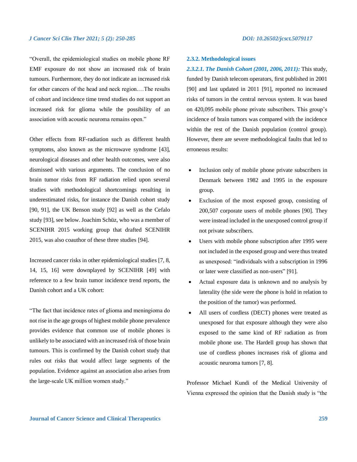"Overall, the epidemiological studies on mobile phone RF EMF exposure do not show an increased risk of brain tumours. Furthermore, they do not indicate an increased risk for other cancers of the head and neck region.…The results of cohort and incidence time trend studies do not support an increased risk for glioma while the possibility of an association with acoustic neuroma remains open."

Other effects from RF-radiation such as different health symptoms, also known as the microwave syndrome [43], neurological diseases and other health outcomes, were also dismissed with various arguments. The conclusion of no brain tumor risks from RF radiation relied upon several studies with methodological shortcomings resulting in underestimated risks, for instance the Danish cohort study [90, 91], the UK Benson study [92] as well as the Cefalo study [93], see below. Joachim Schüz, who was a member of SCENIHR 2015 working group that drafted SCENIHR 2015, was also coauthor of these three studies [94].

Increased cancer risks in other epidemiological studies [7, 8, 14, 15, 16] were downplayed by SCENIHR [49] with reference to a few brain tumor incidence trend reports, the Danish cohort and a UK cohort:

"The fact that incidence rates of glioma and meningioma do not rise in the age groups of highest mobile phone prevalence provides evidence that common use of mobile phones is unlikely to be associated with an increased risk of those brain tumours. This is confirmed by the Danish cohort study that rules out risks that would affect large segments of the population. Evidence against an association also arises from the large-scale UK million women study."

#### **2.3.2. Methodological issues**

*2.3.2.1. The Danish Cohort (2001, 2006, 2011):* This study, funded by Danish telecom operators, first published in 2001 [90] and last updated in 2011 [91], reported no increased risks of tumors in the central nervous system. It was based on 420,095 mobile phone private subscribers. This group's incidence of brain tumors was compared with the incidence within the rest of the Danish population (control group). However, there are severe methodological faults that led to erroneous results:

- Inclusion only of mobile phone private subscribers in Denmark between 1982 and 1995 in the exposure group.
- Exclusion of the most exposed group, consisting of 200,507 corporate users of mobile phones [90]. They were instead included in the unexposed control group if not private subscribers.
- Users with mobile phone subscription after 1995 were not included in the exposed group and were thus treated as unexposed: "individuals with a subscription in 1996 or later were classified as non-users" [91].
- Actual exposure data is unknown and no analysis by laterality (the side were the phone is hold in relation to the position of the tumor) was performed.
- All users of cordless (DECT) phones were treated as unexposed for that exposure although they were also exposed to the same kind of RF radiation as from mobile phone use. The Hardell group has shown that use of cordless phones increases risk of glioma and acoustic neuroma tumors [7, 8].

Professor Michael Kundi of the Medical University of Vienna expressed the opinion that the Danish study is "the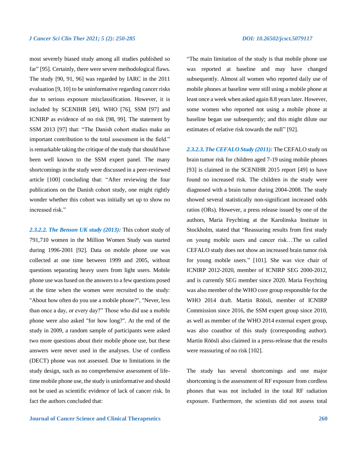most severely biased study among all studies published so far" [95]. Certainly, there were severe methodological flaws. The study [90, 91, 96] was regarded by IARC in the 2011 evaluation [9, 10] to be uninformative regarding cancer risks due to serious exposure misclassification. However, it is included by SCENIHR [49], WHO [76], SSM [97] and ICNIRP as evidence of no risk [98, 99]. The statement by SSM 2013 [97] that: "The Danish cohort studies make an important contribution to the total assessment in the field." is remarkable taking the critique of the study that should have been well known to the SSM expert panel. The many shortcomings in the study were discussed in a peer-reviewed article [100] concluding that: "After reviewing the four publications on the Danish cohort study, one might rightly wonder whether this cohort was initially set up to show no increased risk."

*2.3.2.2. The Benson UK study (2013):* This cohort study of 791,710 women in the Million Women Study was started during 1996-2001 [92]. Data on mobile phone use was collected at one time between 1999 and 2005, without questions separating heavy users from light users. Mobile phone use was based on the answers to a few questions posed at the time when the women were recruited to the study: "About how often do you use a mobile phone?", "Never, less than once a day, or every day?" Those who did use a mobile phone were also asked "for how long?". At the end of the study in 2009, a random sample of participants were asked two more questions about their mobile phone use, but these answers were never used in the analyses. Use of cordless (DECT) phone was not assessed. Due to limitations in the study design, such as no comprehensive assessment of lifetime mobile phone use, the study is uninformative and should not be used as scientific evidence of lack of cancer risk. In fact the authors concluded that:

"The main limitation of the study is that mobile phone use was reported at baseline and may have changed subsequently. Almost all women who reported daily use of mobile phones at baseline were still using a mobile phone at least once a week when asked again 8.8 years later. However, some women who reported not using a mobile phone at baseline began use subsequently; and this might dilute our estimates of relative risk towards the null" [92].

*2.3.2.3. The CEFALO Study (2011):* The CEFALO study on brain tumor risk for children aged 7-19 using mobile phones [93] is claimed in the SCENIHR 2015 report [49] to have found no increased risk. The children in the study were diagnosed with a brain tumor during 2004-2008. The study showed several statistically non-significant increased odds ratios (ORs). However, a press release issued by one of the authors, Maria Feychting at the Karolinska Institute in Stockholm, stated that "Reassuring results from first study on young mobile users and cancer risk…The so called CEFALO study does not show an increased brain tumor risk for young mobile users." [101]. She was vice chair of ICNIRP 2012-2020, member of ICNIRP SEG 2000-2012, and is currently SEG member since 2020. Maria Feychting was also member of the WHO core group responsible for the WHO 2014 draft. Martin Röösli, member of ICNIRP Commission since 2016, the SSM expert group since 2010, as well as member of the WHO 2014 external expert group, was also coauthor of this study (corresponding author). Martin Röösli also claimed in a press-release that the results were reassuring of no risk [102].

The study has several shortcomings and one major shortcoming is the assessment of RF exposure from cordless phones that was not included in the total RF radiation exposure. Furthermore, the scientists did not assess total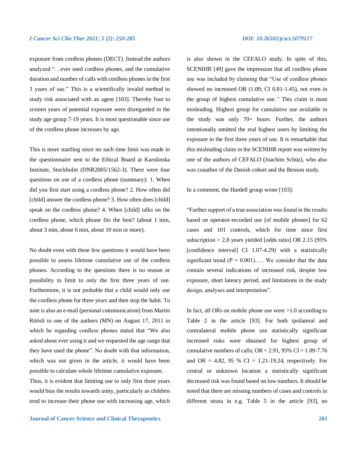exposure from cordless phones (DECT). Instead the authors analyzed "…ever used cordless phones, and the cumulative duration and number of calls with cordless phones in the first 3 years of use." This is a scientifically invalid method to study risk associated with an agent [103]. Thereby four to sixteen years of potential exposure were disregarded in the study age group 7-19 years. It is most questionable since use of the cordless phone increases by age.

This is more startling since no such time limit was made in the questionnaire sent to the Ethical Board at Karolinska Institute, Stockholm (DNR2005/1562-3). There were four questions on use of a cordless phone (summary): 1. When did you first start using a cordless phone? 2. How often did [child] answer the cordless phone? 3. How often does [child] speak on the cordless phone? 4. When [child] talks on the cordless phone, which phrase fits the best? (about 1 min, about 3 min, about 6 min, about 10 min or more)*.*

No doubt even with these few questions it would have been possible to assess lifetime cumulative use of the cordless phones. According to the questions there is no reason or possibility to limit to only the first three years of use. Furthermore, it is not probable that a child would only use the cordless phone for three years and then stop the habit. To note is also an e-mail (personal communication) from Martin Röösli to one of the authors (MN) on August 17, 2011 in which he regarding cordless phones stated that "We also asked about ever using it and we requested the age range that they have used the phone". No doubt with that information, which was not given in the article, it would have been possible to calculate whole lifetime cumulative exposure.

Thus, it is evident that limiting use to only first three years would bias the results towards unity, particularly as children tend to increase their phone use with increasing age, which is also shown in the CEFALO study. In spite of this, SCENIHR [49] gave the impression that all cordless phone use was included by claiming that "Use of cordless phones showed no increased OR (1.09; CI 0.81-1.45), not even in the group of highest cumulative use.*"* This claim is most misleading. Highest group for cumulative use available in the study was only 70+ hours. Further, the authors intentionally omitted the real highest users by limiting the exposure to the first three years of use. It is remarkable that this misleading claim in the SCENIHR report was written by one of the authors of CEFALO (Joachim Schüz), who also was coauthor of the Danish cohort and the Benson study.

In a comment, the Hardell group wrote [103]:

"Further support of a true association was found in the results based on operator-recorded use [of mobile phones] for 62 cases and 101 controls, which for time since first subscription > 2.8 years yielded [odds ratio] OR 2.15 (95% [confidence interval] CI 1.07-4.29) with a statistically significant trend  $(P = 0.001)$ ..... We consider that the data contain several indications of increased risk, despite low exposure, short latency period, and limitations in the study design, analyses and interpretation".

In fact, all ORs on mobile phone use were >1.0 according to Table 2 in the article [93]. For both ipsilateral and contralateral mobile phone use statistically significant increased risks were obtained for highest group of cumulative numbers of calls;  $OR = 2.91$ ,  $95\% CI = 1.09 - 7.76$ and OR = 4.82, 95 % CI = 1.21-19.24, respectively. For central or unknown location a statistically significant decreased risk was found based on low numbers. It should be noted that there are missing numbers of cases and controls in different strata in e.g. Table 5 in the article [93], no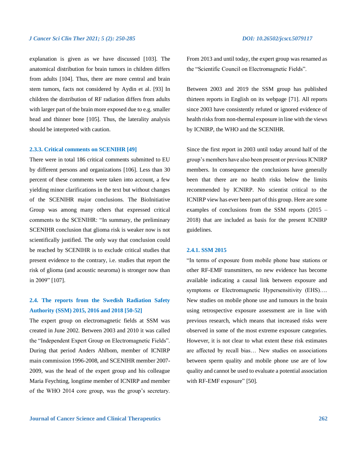explanation is given as we have discussed [103]. The anatomical distribution for brain tumors in children differs from adults [104]. Thus, there are more central and brain stem tumors, facts not considered by Aydin et al. [93] In children the distribution of RF radiation differs from adults with larger part of the brain more exposed due to e.g. smaller head and thinner bone [105]. Thus, the laterality analysis should be interpreted with caution.

#### **2.3.3. Critical comments on SCENIHR [49]**

There were in total 186 critical comments submitted to EU by different persons and organizations [106]. Less than 30 percent of these comments were taken into account, a few yielding minor clarifications in the text but without changes of the SCENIHR major conclusions. The BioInitiative Group was among many others that expressed critical comments to the SCENIHR: "In summary, the preliminary SCENIHR conclusion that glioma risk is weaker now is not scientifically justified. The only way that conclusion could be reached by SCENIHR is to exclude critical studies that present evidence to the contrary, i.e. studies that report the risk of glioma (and acoustic neuroma) is stronger now than in 2009" [107].

# **2.4. The reports from the Swedish Radiation Safety Authority (SSM) 2015, 2016 and 2018 [50-52]**

The expert group on electromagnetic fields at SSM was created in June 2002. Between 2003 and 2010 it was called the "Independent Expert Group on Electromagnetic Fields". During that period Anders Ahlbom, member of ICNIRP main commission 1996-2008, and SCENIHR member 2007- 2009, was the head of the expert group and his colleague Maria Feychting, longtime member of ICNIRP and member of the WHO 2014 core group, was the group's secretary.

From 2013 and until today, the expert group was renamed as the "Scientific Council on Electromagnetic Fields".

Between 2003 and 2019 the SSM group has published thirteen reports in English on its webpage [71]. All reports since 2003 have consistently refuted or ignored evidence of health risks from non-thermal exposure in line with the views by ICNIRP, the WHO and the SCENIHR.

Since the first report in 2003 until today around half of the group's members have also been present or previous ICNIRP members. In consequence the conclusions have generally been that there are no health risks below the limits recommended by ICNIRP. No scientist critical to the ICNIRP view has ever been part of this group. Here are some examples of conclusions from the SSM reports (2015 – 2018) that are included as basis for the present ICNIRP guidelines.

#### **2.4.1. SSM 2015**

"In terms of exposure from mobile phone base stations or other RF-EMF transmitters, no new evidence has become available indicating a causal link between exposure and symptoms or Electromagnetic Hypersensitivity (EHS).... New studies on mobile phone use and tumours in the brain using retrospective exposure assessment are in line with previous research, which means that increased risks were observed in some of the most extreme exposure categories. However, it is not clear to what extent these risk estimates are affected by recall bias… New studies on associations between sperm quality and mobile phone use are of low quality and cannot be used to evaluate a potential association with RF-EMF exposure" [50].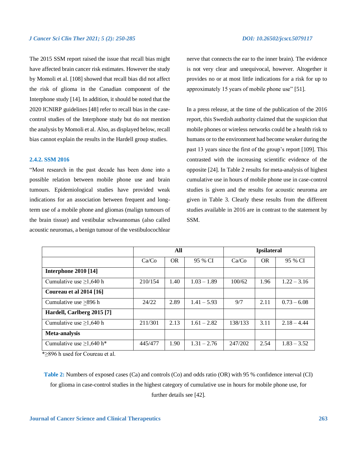The 2015 SSM report raised the issue that recall bias might have affected brain cancer risk estimates. However the study by Momoli et al. [108] showed that recall bias did not affect the risk of glioma in the Canadian component of the Interphone study [14]. In addition, it should be noted that the 2020 ICNIRP guidelines [48] refer to recall bias in the casecontrol studies of the Interphone study but do not mention the analysis by Momoli et al. Also, as displayed below, recall bias cannot explain the results in the Hardell group studies.

### **2.4.2. SSM 2016**

"Most research in the past decade has been done into a possible relation between mobile phone use and brain tumours. Epidemiological studies have provided weak indications for an association between frequent and longterm use of a mobile phone and gliomas (malign tumours of the brain tissue) and vestibular schwannomas (also called acoustic neuromas, a benign tumour of the vestibulocochlear nerve that connects the ear to the inner brain). The evidence is not very clear and unequivocal, however. Altogether it provides no or at most little indications for a risk for up to approximately 15 years of mobile phone use" [51].

In a press release, at the time of the publication of the 2016 report, this Swedish authority claimed that the suspicion that mobile phones or wireless networks could be a health risk to humans or to the environment had become weaker during the past 13 years since the first of the group's report [109]. This contrasted with the increasing scientific evidence of the opposite [24]. In Table 2 results for meta-analysis of highest cumulative use in hours of mobile phone use in case-control studies is given and the results for acoustic neuroma are given in Table 3. Clearly these results from the different studies available in 2016 are in contrast to the statement by SSM.

| All     |           |               | <b>Ipsilateral</b> |      |               |
|---------|-----------|---------------|--------------------|------|---------------|
| Ca/Co   | <b>OR</b> | 95 % CI       | Ca/Co              | OR.  | 95 % CI       |
|         |           |               |                    |      |               |
| 210/154 | 1.40      | $1.03 - 1.89$ | 100/62             | 1.96 | $1.22 - 3.16$ |
|         |           |               |                    |      |               |
| 24/22   | 2.89      | $1.41 - 5.93$ | 9/7                | 2.11 | $0.73 - 6.08$ |
|         |           |               |                    |      |               |
| 211/301 | 2.13      | $1.61 - 2.82$ | 138/133            | 3.11 | $2.18 - 4.44$ |
|         |           |               |                    |      |               |
| 445/477 | 1.90      | $1.31 - 2.76$ | 247/202            | 2.54 | $1.83 - 3.52$ |
|         |           |               |                    |      |               |

\*≥896 h used for Coureau et al.

**Table 2:** Numbers of exposed cases (Ca) and controls (Co) and odds ratio (OR) with 95 % confidence interval (CI) for glioma in case-control studies in the highest category of cumulative use in hours for mobile phone use, for further details see [42].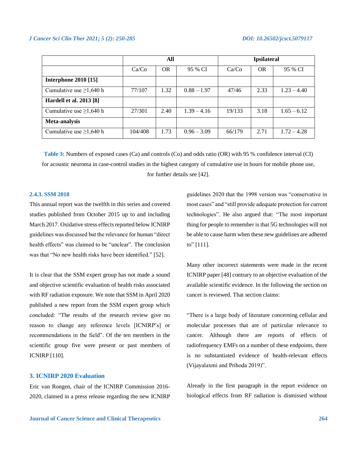|                                |         | All       |               | <b>Ipsilateral</b> |           |               |
|--------------------------------|---------|-----------|---------------|--------------------|-----------|---------------|
|                                | Ca/Co   | <b>OR</b> | 95 % CI       | Ca/Co              | <b>OR</b> | 95 % CI       |
| <b>Interphone 2010 [15]</b>    |         |           |               |                    |           |               |
| Cumulative use $\geq$ 1,640 h  | 77/107  | 1.32      | $0.88 - 1.97$ | 47/46              | 2.33      | $1.23 - 4.40$ |
| <b>Hardell et al. 2013 [8]</b> |         |           |               |                    |           |               |
| Cumulative use $\geq$ 1,640 h  | 27/301  | 2.40      | $1.39 - 4.16$ | 19/133             | 3.18      | $1.65 - 6.12$ |
| Meta-analysis                  |         |           |               |                    |           |               |
| Cumulative use $\geq$ 1,640 h  | 104/408 | 1.73      | $0.96 - 3.09$ | 66/179             | 2.71      | $1.72 - 4.28$ |

**Table 3:** Numbers of exposed cases (Ca) and controls (Co) and odds ratio (OR) with 95 % confidence interval (CI) for acoustic neuroma in case-control studies in the highest category of cumulative use in hours for mobile phone use, for further details see [42].

### **2.4.3. SSM 2018**

This annual report was the twelfth in this series and covered studies published from October 2015 up to and including March 2017. Oxidative stress effects reported below ICNIRP guidelines was discussed but the relevance for human "direct health effects" was claimed to be "unclear". The conclusion was that "No new health risks have been identified." [52].

It is clear that the SSM expert group has not made a sound and objective scientific evaluation of health risks associated with RF radiation exposure. We note that SSM in April 2020 published a new report from the SSM expert group which concluded: "The results of the research review give no reason to change any reference levels [ICNIRP's] or recommendations in the field". Of the ten members in the scientific group five were present or past members of ICNIRP [110].

### **3. ICNIRP 2020 Evaluation**

Eric van Rongen, chair of the ICNIRP Commission 2016- 2020, claimed in a press release regarding the new ICNIRP guidelines 2020 that the 1998 version was "conservative in most cases" and "still provide adequate protection for current technologies"*.* He also argued that: "The most important thing for people to remember is that 5G technologies will not be able to cause harm when these new guidelines are adhered to" [111].

Many other incorrect statements were made in the recent ICNIRP paper [48] contrary to an objective evaluation of the available scientific evidence. In the following the section on cancer is reviewed. That section claims:

"There is a large body of literature concerning cellular and molecular processes that are of particular relevance to cancer. Although there are reports of effects of radiofrequency EMFs on a number of these endpoints, there is no substantiated evidence of health-relevant effects (Vijayalaxmi and Prihoda 2019)".

Already in the first paragraph in the report evidence on biological effects from RF radiation is dismissed without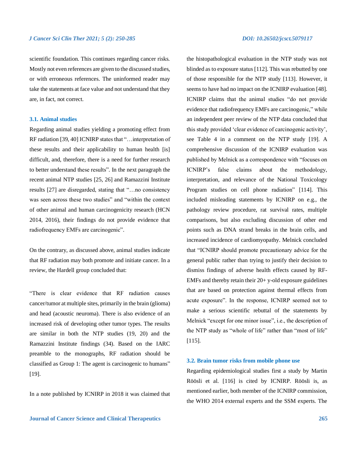scientific foundation. This continues regarding cancer risks. Mostly not even references are given to the discussed studies, or with erroneous references. The uninformed reader may take the statements at face value and not understand that they are, in fact, not correct.

### **3.1. Animal studies**

Regarding animal studies yielding a promoting effect from RF radiation [39, 40] ICNIRP states that "…interpretation of these results and their applicability to human health [is] difficult, and, therefore, there is a need for further research to better understand these results"*.* In the next paragraph the recent animal NTP studies [25, 26] and Ramazzini Institute results [27] are disregarded, stating that "…no consistency was seen across these two studies" and "within the context of other animal and human carcinogenicity research (HCN 2014, 2016), their findings do not provide evidence that radiofrequency EMFs are carcinogenic".

On the contrary, as discussed above, animal studies indicate that RF radiation may both promote and initiate cancer. In a review, the Hardell group concluded that:

"There is clear evidence that RF radiation causes cancer/tumor at multiple sites, primarily in the brain (glioma) and head (acoustic neuroma). There is also evidence of an increased risk of developing other tumor types. The results are similar in both the NTP studies (19, 20) and the Ramazzini Institute findings (34). Based on the IARC preamble to the monographs, RF radiation should be classified as Group 1: The agent is carcinogenic to humans" [19].

In a note published by ICNIRP in 2018 it was claimed that

the histopathological evaluation in the NTP study was not blinded as to exposure status [112]. This was rebutted by one of those responsible for the NTP study [113]. However, it seems to have had no impact on the ICNIRP evaluation [48]. ICNIRP claims that the animal studies "do not provide evidence that radiofrequency EMFs are carcinogenic," while an independent peer review of the NTP data concluded that this study provided 'clear evidence of carcinogenic activity', see Table 4 in a comment on the NTP study [19]. A comprehensive discussion of the ICNIRP evaluation was published by Melnick as a correspondence with "focuses on ICNIRP's false claims about the methodology, interpretation, and relevance of the National Toxicology Program studies on cell phone radiation" [114]. This included misleading statements by ICNIRP on e.g., the pathology review procedure, rat survival rates, multiple comparisons, but also excluding discussion of other end points such as DNA strand breaks in the brain cells, and increased incidence of cardiomyopathy. Melnick concluded that "ICNIRP should promote precautionary advice for the general public rather than trying to justify their decision to dismiss findings of adverse health effects caused by RF-EMFs and thereby retain their  $20+$  y-old exposure guidelines that are based on protection against thermal effects from acute exposure". In the response, ICNIRP seemed not to make a serious scientific rebuttal of the statements by Melnick "except for one minor issue", i.e., the description of the NTP study as "whole of life" rather than "most of life" [115].

#### **3.2. Brain tumor risks from mobile phone use**

Regarding epidemiological studies first a study by Martin Röösli et al. [116] is cited by ICNIRP. Röösli is, as mentioned earlier, both member of the ICNIRP commission, the WHO 2014 external experts and the SSM experts. The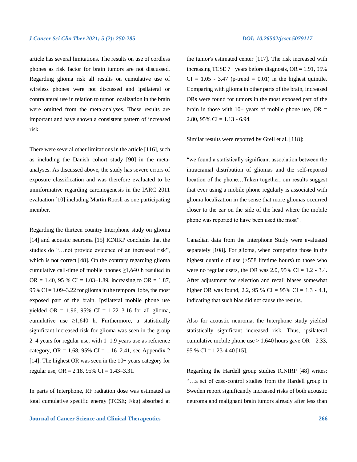article has several limitations. The results on use of cordless phones as risk factor for brain tumors are not discussed. Regarding glioma risk all results on cumulative use of wireless phones were not discussed and ipsilateral or contralateral use in relation to tumor localization in the brain were omitted from the meta-analyses. These results are important and have shown a consistent pattern of increased risk.

There were several other limitations in the article [116], such as including the Danish cohort study [90] in the metaanalyses. As discussed above, the study has severe errors of exposure classification and was therefore evaluated to be uninformative regarding carcinogenesis in the IARC 2011 evaluation [10] including Martin Röösli as one participating member.

Regarding the thirteen country Interphone study on glioma [14] and acoustic neuroma [15] ICNIRP concludes that the studies do "…not provide evidence of an increased risk", which is not correct [48]. On the contrary regarding glioma cumulative call-time of mobile phones  $\geq$ 1,640 h resulted in OR = 1.40, 95 % CI = 1.03–1.89, increasing to OR = 1.87, 95% CI =  $1.09 - 3.22$  for glioma in the temporal lobe, the most exposed part of the brain. Ipsilateral mobile phone use yielded OR = 1.96, 95% CI = 1.22–3.16 for all glioma, cumulative use  $\geq 1,640$  h. Furthermore, a statistically significant increased risk for glioma was seen in the group 2–4 years for regular use, with 1–1.9 years use as reference category, OR = 1.68, 95% CI = 1.16–2.41, see Appendix 2 [14]. The highest OR was seen in the 10+ years category for regular use, OR = 2.18,  $95\%$  CI = 1.43–3.31.

In parts of Interphone, RF radiation dose was estimated as total cumulative specific energy (TCSE; J/kg) absorbed at the tumor's estimated center [117]. The risk increased with increasing TCSE 7+ years before diagnosis,  $OR = 1.91$ , 95%  $CI = 1.05 - 3.47$  (p-trend = 0.01) in the highest quintile. Comparing with glioma in other parts of the brain, increased ORs were found for tumors in the most exposed part of the brain in those with  $10+$  years of mobile phone use, OR = 2.80, 95% CI =  $1.13 - 6.94$ .

Similar results were reported by Grell et al. [118]:

"we found a statistically significant association between the intracranial distribution of gliomas and the self-reported location of the phone…Taken together, our results suggest that ever using a mobile phone regularly is associated with glioma localization in the sense that more gliomas occurred closer to the ear on the side of the head where the mobile phone was reported to have been used the most".

Canadian data from the Interphone Study were evaluated separately [108]. For glioma, when comparing those in the highest quartile of use (>558 lifetime hours) to those who were no regular users, the OR was 2.0,  $95\%$  CI = 1.2 - 3.4. After adjustment for selection and recall biases somewhat higher OR was found, 2.2, 95 % CI =  $95\%$  CI = 1.3 - 4.1, indicating that such bias did not cause the results.

Also for acoustic neuroma, the Interphone study yielded statistically significant increased risk. Thus, ipsilateral cumulative mobile phone use  $> 1,640$  hours gave OR = 2.33, 95 % CI = 1.23-4.40 [15].

Regarding the Hardell group studies ICNIRP [48] writes: "…a set of case-control studies from the Hardell group in Sweden report significantly increased risks of both acoustic neuroma and malignant brain tumors already after less than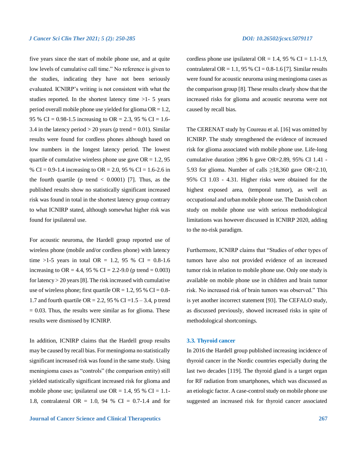five years since the start of mobile phone use, and at quite low levels of cumulative call time." No reference is given to the studies, indicating they have not been seriously evaluated. ICNIRP's writing is not consistent with what the studies reported. In the shortest latency time >1- 5 years period overall mobile phone use yielded for glioma  $OR = 1.2$ , 95 % CI = 0.98-1.5 increasing to OR = 2.3, 95 % CI = 1.6-3.4 in the latency period  $> 20$  years (p trend  $= 0.01$ ). Similar results were found for cordless phones although based on low numbers in the longest latency period. The lowest quartile of cumulative wireless phone use gave  $OR = 1.2, 95$ % CI = 0.9-1.4 increasing to OR = 2.0, 95 % CI = 1.6-2.6 in the fourth quartile (p trend  $< 0.0001$ ) [7]. Thus, as the published results show no statistically significant increased risk was found in total in the shortest latency group contrary to what ICNIRP stated, although somewhat higher risk was found for ipsilateral use.

For acoustic neuroma, the Hardell group reported use of wireless phone (mobile and/or cordless phone) with latency time >1-5 years in total OR = 1.2, 95 % CI =  $0.8-1.6$ increasing to OR = 4.4, 95 % CI = 2.2-9.0 (p trend = 0.003) for latency  $> 20$  years [8]. The risk increased with cumulative use of wireless phone; first quartile OR = 1.2, 95 % CI =  $0.8$ -1.7 and fourth quartile OR = 2.2, 95 % CI =  $1.5 - 3.4$ , p trend  $= 0.03$ . Thus, the results were similar as for glioma. These results were dismissed by ICNIRP.

In addition, ICNIRP claims that the Hardell group results may be caused by recall bias. For meningioma no statistically significant increased risk was found in the same study. Using meningioma cases as "controls" (the comparison entity) still yielded statistically significant increased risk for glioma and mobile phone use; ipsilateral use  $OR = 1.4$ , 95 %  $CI = 1.1$ -1.8, contralateral OR = 1.0, 94 % CI = 0.7-1.4 and for cordless phone use ipsilateral OR = 1.4, 95 % CI = 1.1-1.9, contralateral OR = 1.1, 95 % CI =  $0.8-1.6$  [7]. Similar results were found for acoustic neuroma using meningioma cases as the comparison group [8]. These results clearly show that the increased risks for glioma and acoustic neuroma were not caused by recall bias.

The CERENAT study by Coureau et al. [16] was omitted by ICNIRP. The study strengthened the evidence of increased risk for glioma associated with mobile phone use. Life-long cumulative duration  $\geq 896$  h gave OR=2.89, 95% CI 1.41 -5.93 for glioma. Number of calls  $\geq$ 18,360 gave OR=2.10, 95% CI 1.03 - 4.31. Higher risks were obtained for the highest exposed area, (temporal tumor), as well as occupational and urban mobile phone use. The Danish cohort study on mobile phone use with serious methodological limitations was however discussed in ICNIRP 2020, adding to the no-risk paradigm.

Furthermore, ICNIRP claims that "Studies of other types of tumors have also not provided evidence of an increased tumor risk in relation to mobile phone use. Only one study is available on mobile phone use in children and brain tumor risk. No increased risk of brain tumors was observed." This is yet another incorrect statement [93]. The CEFALO study, as discussed previously, showed increased risks in spite of methodological shortcomings.

#### **3.3. Thyroid cancer**

In 2016 the Hardell group published increasing incidence of thyroid cancer in the Nordic countries especially during the last two decades [119]. The thyroid gland is a target organ for RF radiation from smartphones, which was discussed as an etiologic factor. A case-control study on mobile phone use suggested an increased risk for thyroid cancer associated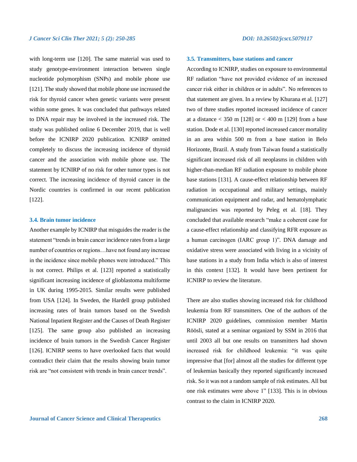with long-term use [120]. The same material was used to study genotype-environment interaction between single nucleotide polymorphism (SNPs) and mobile phone use [121]. The study showed that mobile phone use increased the risk for thyroid cancer when genetic variants were present within some genes. It was concluded that pathways related to DNA repair may be involved in the increased risk. The study was published online 6 December 2019, that is well before the ICNIRP 2020 publication. ICNIRP omitted completely to discuss the increasing incidence of thyroid cancer and the association with mobile phone use. The statement by ICNIRP of no risk for other tumor types is not correct. The increasing incidence of thyroid cancer in the Nordic countries is confirmed in our recent publication [122].

#### **3.4. Brain tumor incidence**

Another example by ICNIRP that misguides the reader is the statement "trends in brain cancer incidence rates from a large number of countries or regions…have not found any increase in the incidence since mobile phones were introduced." This is not correct. Philips et al. [123] reported a statistically significant increasing incidence of glioblastoma multiforme in UK during 1995-2015. Similar results were published from USA [124]. In Sweden, the Hardell group published increasing rates of brain tumors based on the Swedish National Inpatient Register and the Causes of Death Register [125]. The same group also published an increasing incidence of brain tumors in the Swedish Cancer Register [126]. ICNIRP seems to have overlooked facts that would contradict their claim that the results showing brain tumor risk are "not consistent with trends in brain cancer trends".

#### **3.5. Transmitters, base stations and cancer**

According to ICNIRP, studies on exposure to environmental RF radiation "have not provided evidence of an increased cancer risk either in children or in adults". No references to that statement are given. In a review by Khurana et al. [127] two of three studies reported increased incidence of cancer at a distance  $<$  350 m [128] or  $<$  400 m [129] from a base station. Dode et al. [130] reported increased cancer mortality in an area within 500 m from a base station in Belo Horizonte, Brazil. A study from Taiwan found a statistically significant increased risk of all neoplasms in children with higher-than-median RF radiation exposure to mobile phone base stations [131]. A cause-effect relationship between RF radiation in occupational and military settings, mainly communication equipment and radar, and hematolymphatic malignancies was reported by Peleg et al. [18]. They concluded that available research "make a coherent case for a cause-effect relationship and classifying RFR exposure as a human carcinogen (IARC group 1)"*.* DNA damage and oxidative stress were associated with living in a vicinity of base stations in a study from India which is also of interest in this context [132]. It would have been pertinent for ICNIRP to review the literature.

There are also studies showing increased risk for childhood leukemia from RF transmitters. One of the authors of the ICNIRP 2020 guidelines, commission member Martin Röösli, stated at a seminar organized by SSM in 2016 that until 2003 all but one results on transmitters had shown increased risk for childhood leukemia: "it was quite impressive that [for] almost all the studies for different type of leukemias basically they reported significantly increased risk. So it was not a random sample of risk estimates. All but one risk estimates were above 1" [133]. This is in obvious contrast to the claim in ICNIRP 2020.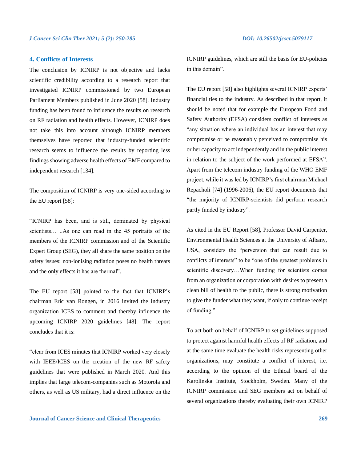#### **4. Conflicts of Interests**

The conclusion by ICNIRP is not objective and lacks scientific credibility according to a research report that investigated ICNIRP commissioned by two European Parliament Members published in June 2020 [58]. Industry funding has been found to influence the results on research on RF radiation and health effects. However, ICNIRP does not take this into account although ICNIRP members themselves have reported that industry-funded scientific research seems to influence the results by reporting less findings showing adverse health effects of EMF compared to independent research [134].

The composition of ICNIRP is very one-sided according to the EU report [58]:

"ICNIRP has been, and is still, dominated by physical scientists… ..As one can read in the 45 portraits of the members of the ICNIRP commission and of the Scientific Expert Group (SEG), they all share the same position on the safety issues: non-ionising radiation poses no health threats and the only effects it has are thermal".

The EU report [58] pointed to the fact that ICNIRP's chairman Eric van Rongen, in 2016 invited the industry organization ICES to comment and thereby influence the upcoming ICNIRP 2020 guidelines [48]. The report concludes that it is:

"clear from ICES minutes that ICNIRP worked very closely with IEEE/ICES on the creation of the new RF safety guidelines that were published in March 2020. And this implies that large telecom-companies such as Motorola and others, as well as US military, had a direct influence on the ICNIRP guidelines, which are still the basis for EU-policies in this domain".

The EU report [58] also highlights several ICNIRP experts' financial ties to the industry. As described in that report, it should be noted that for example the European Food and Safety Authority (EFSA) considers conflict of interests as "any situation where an individual has an interest that may compromise or be reasonably perceived to compromise his or her capacity to act independently and in the public interest in relation to the subject of the work performed at EFSA". Apart from the telecom industry funding of the WHO EMF project, while it was led by ICNIRP's first chairman Michael Repacholi [74] (1996-2006), the EU report documents that "the majority of ICNIRP-scientists did perform research partly funded by industry".

As cited in the EU Report [58], Professor David Carpenter, Environmental Health Sciences at the University of Albany, USA, considers the "perversion that can result due to conflicts of interests" to be "one of the greatest problems in scientific discovery…When funding for scientists comes from an organization or corporation with desires to present a clean bill of health to the public, there is strong motivation to give the funder what they want, if only to continue receipt of funding."

To act both on behalf of ICNIRP to set guidelines supposed to protect against harmful health effects of RF radiation, and at the same time evaluate the health risks representing other organizations, may constitute a conflict of interest, i.e. according to the opinion of the Ethical board of the Karolinska Institute, Stockholm, Sweden. Many of the ICNIRP commission and SEG members act on behalf of several organizations thereby evaluating their own ICNIRP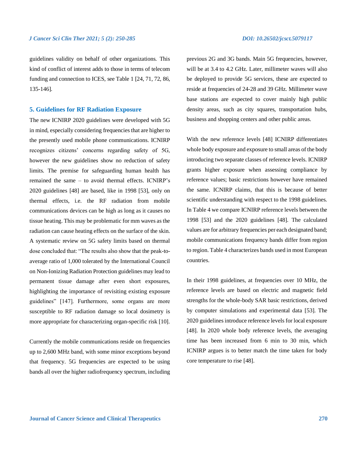guidelines validity on behalf of other organizations. This kind of conflict of interest adds to those in terms of telecom funding and connection to ICES, see Table 1 [24, 71, 72, 86, 135-146].

#### **5. Guidelines for RF Radiation Exposure**

The new ICNIRP 2020 guidelines were developed with 5G in mind, especially considering frequencies that are higher to the presently used mobile phone communications. ICNIRP recognizes citizens' concerns regarding safety of 5G, however the new guidelines show no reduction of safety limits. The premise for safeguarding human health has remained the same – to avoid thermal effects. ICNIRP's 2020 guidelines [48] are based, like in 1998 [53], only on thermal effects, i.e. the RF radiation from mobile communications devices can be high as long as it causes no tissue heating. This may be problematic for mm waves as the radiation can cause heating effects on the surface of the skin. A systematic review on 5G safety limits based on thermal dose concluded that: "The results also show that the peak-toaverage ratio of 1,000 tolerated by the International Council on Non-Ionizing Radiation Protection guidelines may lead to permanent tissue damage after even short exposures, highlighting the importance of revisiting existing exposure guidelines" [147]. Furthermore, some organs are more susceptible to RF radiation damage so local dosimetry is more appropriate for characterizing organ-specific risk [10].

Currently the mobile communications reside on frequencies up to 2,600 MHz band, with some minor exceptions beyond that frequency. 5G frequencies are expected to be using bands all over the higher radiofrequency spectrum, including previous 2G and 3G bands. Main 5G frequencies, however, will be at 3.4 to 4.2 GHz. Later, millimeter waves will also be deployed to provide 5G services, these are expected to reside at frequencies of 24-28 and 39 GHz. Millimeter wave base stations are expected to cover mainly high public density areas, such as city squares, transportation hubs, business and shopping centers and other public areas.

With the new reference levels [48] ICNIRP differentiates whole body exposure and exposure to small areas of the body introducing two separate classes of reference levels. ICNIRP grants higher exposure when assessing compliance by reference values; basic restrictions however have remained the same. ICNIRP claims, that this is because of better scientific understanding with respect to the 1998 guidelines. In Table 4 we compare ICNIRP reference levels between the 1998 [53] and the 2020 guidelines [48]. The calculated values are for arbitrary frequencies per each designated band; mobile communications frequency bands differ from region to region. Table 4 characterizes bands used in most European countries.

In their 1998 guidelines, at frequencies over 10 MHz, the reference levels are based on electric and magnetic field strengths for the whole-body SAR basic restrictions, derived by computer simulations and experimental data [53]. The 2020 guidelines introduce reference levels for local exposure [48]. In 2020 whole body reference levels, the averaging time has been increased from 6 min to 30 min, which ICNIRP argues is to better match the time taken for body core temperature to rise [48].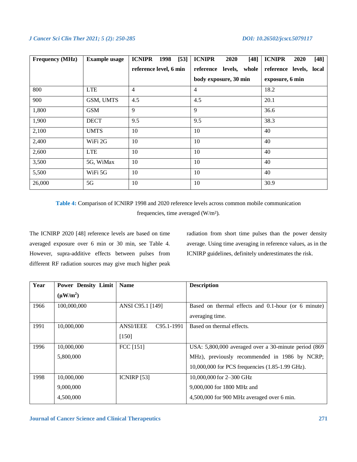| <b>Frequency (MHz)</b> | <b>Example usage</b> | <b>ICNIPR</b><br>$[53]$<br>1998 | <b>ICNIPR</b><br>$[48]$<br>2020 | <b>ICNIPR</b><br>$[48]$<br>2020 |
|------------------------|----------------------|---------------------------------|---------------------------------|---------------------------------|
|                        |                      | reference level, 6 min          | reference<br>levels, whole      | reference levels, local         |
|                        |                      |                                 | body exposure, 30 min           | exposure, 6 min                 |
| 800                    | <b>LTE</b>           | $\overline{4}$                  | 4                               | 18.2                            |
| 900                    | GSM, UMTS            | 4.5                             | 4.5                             | 20.1                            |
| 1,800                  | <b>GSM</b>           | 9                               | 9                               | 36.6                            |
| 1,900                  | <b>DECT</b>          | 9.5                             | 9.5                             | 38.3                            |
| 2,100                  | <b>UMTS</b>          | 10                              | 10                              | 40                              |
| 2,400                  | WiFi 2G              | 10                              | 10                              | 40                              |
| 2,600                  | <b>LTE</b>           | 10                              | 10                              | 40                              |
| 3,500                  | 5G, WiMax            | 10                              | 10                              | 40                              |
| 5,500                  | WiFi 5G              | 10                              | 10                              | 40                              |
| 26,000                 | 5G                   | 10                              | 10                              | 30.9                            |

**Table 4:** Comparison of ICNIRP 1998 and 2020 reference levels across common mobile communication frequencies, time averaged (W/m²).

The ICNIRP 2020 [48] reference levels are based on time averaged exposure over 6 min or 30 min, see Table 4. However, supra-additive effects between pulses from different RF radiation sources may give much higher peak radiation from short time pulses than the power density average. Using time averaging in reference values, as in the ICNIRP guidelines, definitely underestimates the risk.

| Year | <b>Power Density Limit</b> | <b>Name</b>                                 | <b>Description</b>                                    |
|------|----------------------------|---------------------------------------------|-------------------------------------------------------|
|      | $(\mu W/m^2)$              |                                             |                                                       |
| 1966 | 100,000,000                | ANSI C95.1 [149]                            | Based on thermal effects and 0.1-hour (or 6 minute)   |
|      |                            |                                             | averaging time.                                       |
| 1991 | 10,000,000                 | <b>ANSI/IEEE</b><br>C <sub>95.1</sub> -1991 | Based on thermal effects.                             |
|      |                            | $[150]$                                     |                                                       |
| 1996 | 10,000,000                 | FCC [151]                                   | USA: 5,800,000 averaged over a 30-minute period (869) |
|      | 5,800,000                  |                                             | MHz), previously recommended in 1986 by NCRP;         |
|      |                            |                                             | 10,000,000 for PCS frequencies (1.85-1.99 GHz).       |
| 1998 | 10,000,000                 | <b>ICNIRP</b> [53]                          | 10,000,000 for 2-300 GHz                              |
|      | 9,000,000                  |                                             | 9,000,000 for 1800 MHz and                            |
|      | 4,500,000                  |                                             | 4,500,000 for 900 MHz averaged over 6 min.            |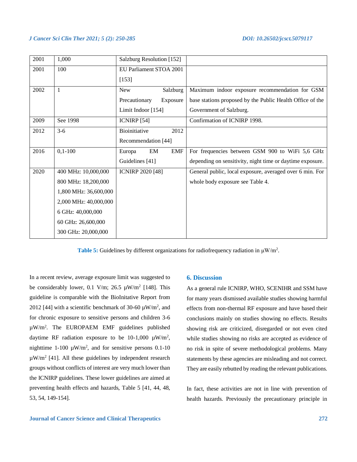| 2001 | 1,000                 | Salzburg Resolution [152]  |                                                           |
|------|-----------------------|----------------------------|-----------------------------------------------------------|
| 2001 | 100                   | EU Parliament STOA 2001    |                                                           |
|      |                       | $[153]$                    |                                                           |
| 2002 | 1                     | Salzburg<br><b>New</b>     | Maximum indoor exposure recommendation for GSM            |
|      |                       | Precautionary<br>Exposure  | base stations proposed by the Public Health Office of the |
|      |                       | Limit Indoor [154]         | Government of Salzburg.                                   |
| 2009 | See 1998              | ICNIRP $[54]$              | Confirmation of ICNIRP 1998.                              |
| 2012 | $3-6$                 | Bioinitiative<br>2012      |                                                           |
|      |                       | Recommendation [44]        |                                                           |
| 2016 | $0,1-100$             | EM<br><b>EMF</b><br>Europa | For frequencies between GSM 900 to WiFi 5,6 GHz           |
|      |                       | Guidelines [41]            | depending on sensitivity, night time or daytime exposure. |
| 2020 | 400 MHz: 10,000,000   | <b>ICNIRP 2020 [48]</b>    | General public, local exposure, averaged over 6 min. For  |
|      | 800 MHz: 18,200,000   |                            | whole body exposure see Table 4.                          |
|      | 1,800 MHz: 36,600,000 |                            |                                                           |
|      | 2,000 MHz: 40,000,000 |                            |                                                           |
|      | 6 GHz: 40,000,000     |                            |                                                           |
|      | 60 GHz: 26,600,000    |                            |                                                           |
|      | 300 GHz: 20,000,000   |                            |                                                           |
|      |                       |                            |                                                           |

**Table 5:** Guidelines by different organizations for radiofrequency radiation in  $\mu$ W/m<sup>2</sup>.

In a recent review, average exposure limit was suggested to be considerably lower, 0.1 V/m; 26.5  $\mu$ W/m<sup>2</sup> [148]. This guideline is comparable with the BioInitative Report from 2012 [44] with a scientific benchmark of 30-60  $\mu$ W/m<sup>2</sup>, and for chronic exposure to sensitive persons and children 3-6 µW/m<sup>2</sup> . The EUROPAEM EMF guidelines published daytime RF radiation exposure to be  $10-1,000 \mu W/m^2$ , mighttime 1-100  $\mu$ W/m<sup>2</sup>, and for sensitive persons 0.1-10  $\mu$ W/m<sup>2</sup> [41]. All these guidelines by independent research groups without conflicts of interest are very much lower than the ICNIRP guidelines. These lower guidelines are aimed at preventing health effects and hazards, Table 5 [41, 44, 48, 53, 54, 149-154].

#### **6. Discussion**

As a general rule ICNIRP, WHO, SCENIHR and SSM have for many years dismissed available studies showing harmful effects from non-thermal RF exposure and have based their conclusions mainly on studies showing no effects. Results showing risk are criticized, disregarded or not even cited while studies showing no risks are accepted as evidence of no risk in spite of severe methodological problems. Many statements by these agencies are misleading and not correct. They are easily rebutted by reading the relevant publications.

In fact, these activities are not in line with prevention of health hazards. Previously the precautionary principle in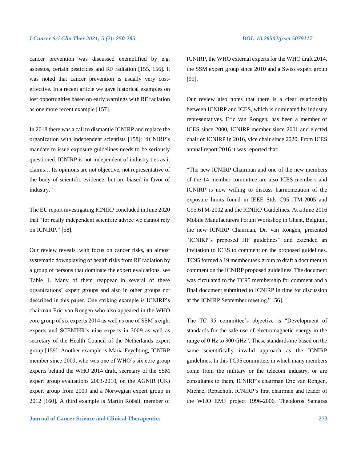cancer prevention was discussed exemplified by e.g. asbestos, certain pesticides and RF radiation [155, 156]. It was noted that cancer prevention is usually very costeffective. In a recent article we gave historical examples on lost opportunities based on early warnings with RF radiation as one more recent example [157].

In 2018 there was a call to dismantle ICNIRP and replace the organization with independent scientists [158]: "ICNIRP's mandate to issue exposure guidelines needs to be seriously questioned. ICNIRP is not independent of industry ties as it claims… Its opinions are not objective, not representative of the body of scientific evidence, but are biased in favor of industry."

The EU report investigating ICNIRP concluded in June 2020 that "for really independent scientific advice we cannot rely on ICNIRP." [58].

Our review reveals, with focus on cancer risks, an almost systematic downplaying of health risks from RF radiation by a group of persons that dominate the expert evaluations, see Table 1. Many of them reappear in several of these organizations' expert groups and also in other groups not described in this paper. One striking example is ICNIRP's chairman Eric van Rongen who also appeared in the WHO core group of six experts 2014 as well as one of SSM's eight experts and SCENIHR's nine experts in 2009 as well as secretary of the Health Council of the Netherlands expert group [159]. Another example is Maria Feychting, ICNIRP member since 2000, who was one of WHO's six core group experts behind the WHO 2014 draft, secretary of the SSM expert group evaluations 2003-2010, on the AGNIR (UK) expert group from 2009 and a Norwegian expert group in 2012 [160]. A third example is Martin Röösli, member of

**Journal of Cancer Science and Clinical Therapeutics 273**

ICNIRP, the WHO external experts for the WHO draft 2014, the SSM expert group since 2010 and a Swiss expert group [99].

Our review also notes that there is a clear relationship between ICNIRP and ICES, which is dominated by industry representatives. Eric van Rongen, has been a member of ICES since 2000, ICNIRP member since 2001 and elected chair of ICNIRP in 2016, vice chair since 2020. From ICES annual report 2016 it was reported that:

"The new ICNIRP Chairman and one of the new members of the 14 member committee are also ICES members and ICNIRP is now willing to discuss harmonization of the exposure limits found in IEEE Stds C95.1TM-2005 and C95.6TM-2002 and the ICNIRP Guidelines. At a June 2016 Mobile Manufacturers Forum Workshop in Ghent, Belgium, the new ICNIRP Chairman, Dr. van Rongen, presented "ICNIRP's proposed HF guidelines" and extended an invitation to ICES to comment on the proposed guidelines. TC95 formed a 19 member task group to draft a document to comment on the ICNIRP proposed guidelines. The document was circulated to the TC95 membership for comment and a final document submitted to ICNIRP in time for discussion at the ICNIRP September meeting." [56].

The TC 95 committee's objective is "Development of standards for the safe use of electromagnetic energy in the range of 0 Hz to 300 GHz". These standards are based on the same scientifically invalid approach as the ICNIRP guidelines. In this TC95 committee, in which many members come from the military or the telecom industry, or are consultants to them, ICNIRP's chairman Eric van Rongen, Michael Repacholi, ICNIRP's first chairman and leader of the WHO EMF project 1996-2006, Theodoros Samaras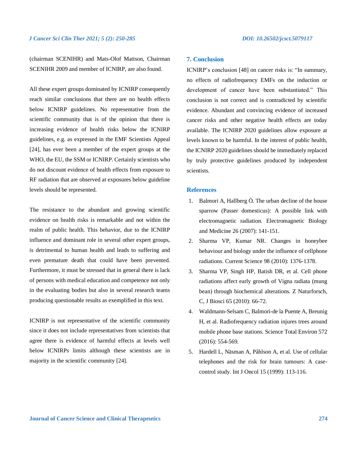(chairman SCENIHR) and Mats-Olof Mattson, Chairman SCENIHR 2009 and member of ICNIRP, are also found.

All these expert groups dominated by ICNIRP consequently reach similar conclusions that there are no health effects below ICNIRP guidelines. No representative from the scientific community that is of the opinion that there is increasing evidence of health risks below the ICNIRP guidelines, e.g. as expressed in the EMF Scientists Appeal [24], has ever been a member of the expert groups at the WHO, the EU, the SSM or ICNIRP. Certainly scientists who do not discount evidence of health effects from exposure to RF radiation that are observed at exposures below guideline levels should be represented.

The resistance to the abundant and growing scientific evidence on health risks is remarkable and not within the realm of public health. This behavior, due to the ICNIRP influence and dominant role in several other expert groups, is detrimental to human health and leads to suffering and even premature death that could have been prevented. Furthermore, it must be stressed that in general there is lack of persons with medical education and competence not only in the evaluating bodies but also in several research teams producing questionable results as exemplified in this text.

ICNIRP is not representative of the scientific community since it does not include representatives from scientists that agree there is evidence of harmful effects at levels well below ICNIRPs limits although these scientists are in majority in the scientific community [24].

### **7. Conclusion**

ICNIRP's conclusion [48] on cancer risks is: "In summary, no effects of radiofrequency EMFs on the induction or development of cancer have been substantiated." This conclusion is not correct and is contradicted by scientific evidence. Abundant and convincing evidence of increased cancer risks and other negative health effects are today available. The ICNIRP 2020 guidelines allow exposure at levels known to be harmful. In the interest of public health, the ICNIRP 2020 guidelines should be immediately replaced by truly protective guidelines produced by independent scientists.

### **References**

- 1. Balmori A, Hallberg Ö. The urban decline of the house sparrow (Passer domesticus): A possible link with electromagnetic radiation. Electromagnetic Biology and Medicine 26 (2007): 141-151.
- 2. Sharma VP, Kumar NR. Changes in honeybee behaviour and biology under the influence of cellphone radiations. Current Science 98 (2010): 1376-1378.
- 3. Sharma VP, Singh HP, Batish DR, et al. Cell phone radiations affect early growth of Vigna radiata (mung bean) through biochemical alterations. Z Naturforsch, C, J Biosci 65 (2010): 66-72.
- 4. Waldmann-Selsam C, Balmori-de la Puente A, Breunig H, et al. Radiofrequency radiation injures trees around mobile phone base stations. Science Total Environ 572 (2016): 554-569.
- 5. Hardell L, Näsman A, Påhlson A, et al. Use of cellular telephones and the risk for brain tumours: A casecontrol study. Int J Oncol 15 (1999): 113-116.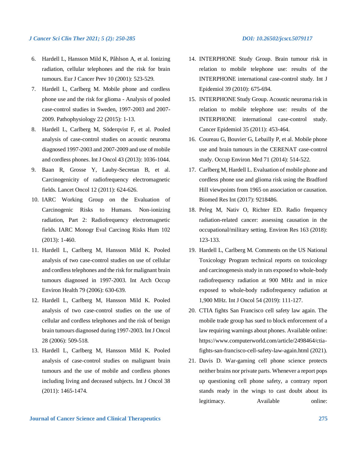- 6. Hardell L, Hansson Mild K, Påhlson A, et al. Ionizing radiation, cellular telephones and the risk for brain tumours. Eur J Cancer Prev 10 (2001): 523-529.
- 7. Hardell L, Carlberg M. Mobile phone and cordless phone use and the risk for glioma - Analysis of pooled case-control studies in Sweden, 1997-2003 and 2007- 2009. Pathophysiology 22 (2015): 1-13.
- 8. Hardell L, Carlberg M, Söderqvist F, et al. Pooled analysis of case-control studies on acoustic neuroma diagnosed 1997-2003 and 2007-2009 and use of mobile and cordless phones. Int J Oncol 43 (2013): 1036-1044.
- 9. Baan R, Grosse Y, Lauby-Secretan B, et al. Carcinogenicity of radiofrequency electromagnetic fields. Lancet Oncol 12 (2011): 624-626.
- 10. IARC Working Group on the Evaluation of Carcinogenic Risks to Humans. Non-ionizing radiation, Part 2: Radiofrequency electromagnetic fields. IARC Monogr Eval Carcinog Risks Hum 102 (2013): 1-460.
- 11. Hardell L, Carlberg M, Hansson Mild K. Pooled analysis of two case-control studies on use of cellular and cordless telephones and the risk for malignant brain tumours diagnosed in 1997-2003. Int Arch Occup Environ Health 79 (2006): 630-639.
- 12. Hardell L, Carlberg M, Hansson Mild K. Pooled analysis of two case-control studies on the use of cellular and cordless telephones and the risk of benign brain tumours diagnosed during 1997-2003. Int J Oncol 28 (2006): 509-518.
- 13. Hardell L, Carlberg M, Hansson Mild K. Pooled analysis of case-control studies on malignant brain tumours and the use of mobile and cordless phones including living and deceased subjects. Int J Oncol 38 (2011): 1465-1474.
- 14. INTERPHONE Study Group. Brain tumour risk in relation to mobile telephone use: results of the INTERPHONE international case-control study. Int J Epidemiol 39 (2010): 675-694.
- 15. INTERPHONE Study Group. Acoustic neuroma risk in relation to mobile telephone use: results of the INTERPHONE international case-control study. Cancer Epidemiol 35 (2011): 453-464.
- 16. Coureau G, Bouvier G, Lebailly P, et al. Mobile phone use and brain tumours in the CERENAT case-control study. Occup Environ Med 71 (2014): 514-522.
- 17. Carlberg M, Hardell L. Evaluation of mobile phone and cordless phone use and glioma risk using the Bradford Hill viewpoints from 1965 on association or causation. Biomed Res Int (2017): 9218486.
- 18. Peleg M, Nativ O, Richter ED. Radio frequency radiation-related cancer: assessing causation in the occupational/military setting. Environ Res 163 (2018): 123-133.
- 19. Hardell L, Carlberg M. Comments on the US National Toxicology Program technical reports on toxicology and carcinogenesis study in rats exposed to whole-body radiofrequency radiation at 900 MHz and in mice exposed to whole-body radiofrequency radiation at 1,900 MHz. Int J Oncol 54 (2019): 111-127.
- 20. CTIA fights San Francisco cell safety law again. The mobile trade group has sued to block enforcement of a law requiring warnings about phones. Available online: https://www.computerworld.com/article/2498464/ctiafights-san-francisco-cell-safety-law-again.html (2021).
- 21. Davis D. War-gaming cell phone science protects neither brains nor private parts. Whenever a report pops up questioning cell phone safety, a contrary report stands ready in the wings to cast doubt about its legitimacy. Available online: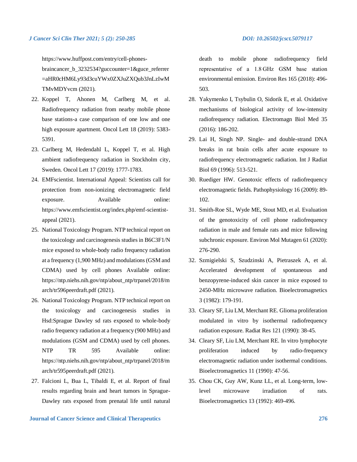https://www.huffpost.com/entry/cell-phones-

braincancer b 3232534?guccounter=1&guce referrer =aHR0cHM6Ly93d3cuYWx0ZXJuZXQub3JnLzIwM TMvMDYvcm (2021).

- 22. Koppel T, Ahonen M, Carlberg M, et al. Radiofrequency radiation from nearby mobile phone base stations-a case comparison of one low and one high exposure apartment. Oncol Lett 18 (2019): 5383- 5391.
- 23. Carlberg M, Hedendahl L, Koppel T, et al. High ambient radiofrequency radiation in Stockholm city, Sweden. Oncol Lett 17 (2019): 1777-1783.
- 24. EMFscientist. International Appeal: Scientists call for protection from non-ionizing electromagnetic field exposure. Available online: https://www.emfscientist.org/index.php/emf-scientistappeal (2021).
- 25. National Toxicology Program. NTP technical report on the toxicology and carcinogenesis studies in B6C3F1/N mice exposed to whole-body radio frequency radiation at a frequency (1,900 MHz) and modulations (GSM and CDMA) used by cell phones Available online: https://ntp.niehs.nih.gov/ntp/about\_ntp/trpanel/2018/m arch/tr596peerdraft.pdf (2021).
- 26. National Toxicology Program. NTP technical report on the toxicology and carcinogenesis studies in Hsd:Sprague Dawley sd rats exposed to whole-body radio frequency radiation at a frequency (900 MHz) and modulations (GSM and CDMA) used by cell phones. NTP TR 595 Available online: https://ntp.niehs.nih.gov/ntp/about\_ntp/trpanel/2018/m arch/tr595peerdraft.pdf (2021).
- 27. Falcioni L, Bua L, Tibaldi E, et al. Report of final results regarding brain and heart tumors in Sprague-Dawley rats exposed from prenatal life until natural

death to mobile phone radiofrequency field representative of a 1.8 GHz GSM base station environmental emission. Environ Res 165 (2018): 496- 503.

- 28. Yakymenko I, Tsybulin O, Sidorik E, et al. Oxidative mechanisms of biological activity of low-intensity radiofrequency radiation. Electromagn Biol Med 35 (2016): 186-202.
- 29. Lai H, Singh NP. Single- and double-strand DNA breaks in rat brain cells after acute exposure to radiofrequency electromagnetic radiation. Int J Radiat Biol 69 (1996): 513-521.
- 30. Ruediger HW. Genotoxic effects of radiofrequency electromagnetic fields. Pathophysiology 16 (2009): 89- 102.
- 31. Smith-Roe SL, Wyde ME, Stout MD, et al. Evaluation of the genotoxicity of cell phone radiofrequency radiation in male and female rats and mice following subchronic exposure. Environ Mol Mutagen 61 (2020): 276-290.
- 32. Szmigielski S, Szudzinski A, Pietraszek A, et al. Accelerated development of spontaneous and benzopyrene-induced skin cancer in mice exposed to 2450-MHz microwave radiation. Bioelectromagnetics 3 (1982): 179-191.
- 33. Cleary SF, Liu LM, Merchant RE. Glioma proliferation modulated in vitro by isothermal radiofrequency radiation exposure. Radiat Res 121 (1990): 38-45.
- 34. Cleary SF, Liu LM, Merchant RE. In vitro lymphocyte proliferation induced by radio-frequency electromagnetic radiation under isothermal conditions. Bioelectromagnetics 11 (1990): 47-56.
- 35. Chou CK, Guy AW, Kunz LL, et al. Long-term, lowlevel microwave irradiation of rats. Bioelectromagnetics 13 (1992): 469-496.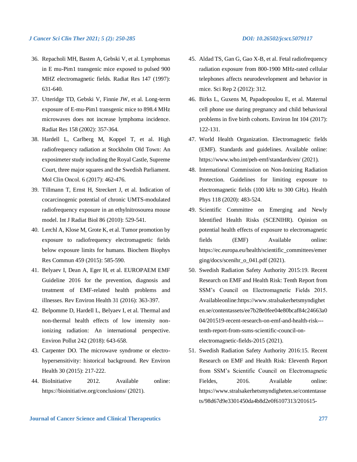- 36. Repacholi MH, Basten A, Gebski V, et al. Lymphomas in E mu-Pim1 transgenic mice exposed to pulsed 900 MHZ electromagnetic fields. Radiat Res 147 (1997): 631-640.
- 37. Utteridge TD, Gebski V, Finnie JW, et al. Long-term exposure of E-mu-Pim1 transgenic mice to 898.4 MHz microwaves does not increase lymphoma incidence. Radiat Res 158 (2002): 357-364.
- 38. Hardell L, Carlberg M, Koppel T, et al. High radiofrequency radiation at Stockholm Old Town: An exposimeter study including the Royal Castle, Supreme Court, three major squares and the Swedish Parliament. Mol Clin Oncol. 6 (2017): 462-476.
- 39. Tillmann T, Ernst H, Streckert J, et al. Indication of cocarcinogenic potential of chronic UMTS-modulated radiofrequency exposure in an ethylnitrosourea mouse model. Int J Radiat Biol 86 (2010): 529-541.
- 40. Lerchl A, Klose M, Grote K, et al. Tumor promotion by exposure to radiofrequency electromagnetic fields below exposure limits for humans. Biochem Biophys Res Commun 459 (2015): 585-590.
- 41. Belyaev I, Dean A, Eger H, et al. EUROPAEM EMF Guideline 2016 for the prevention, diagnosis and treatment of EMF-related health problems and illnesses. Rev Environ Health 31 (2016): 363-397.
- 42. Belpomme D, Hardell L, Belyaev I, et al. Thermal and non-thermal health effects of low intensity nonionizing radiation: An international perspective. Environ Pollut 242 (2018): 643-658.
- 43. Carpenter DO. The microwave syndrome or electrohypersensitivity: historical background. Rev Environ Health 30 (2015): 217-222.
- 44. BioInitiative 2012. Available online: https://bioinitiative.org/conclusions/ (2021).
- 
- 45. Aldad TS, Gan G, Gao X-B, et al. Fetal radiofrequency radiation exposure from 800-1900 MHz-rated cellular telephones affects neurodevelopment and behavior in mice. Sci Rep 2 (2012): 312.
- 46. Birks L, Guxens M, Papadopoulou E, et al. Maternal cell phone use during pregnancy and child behavioral problems in five birth cohorts. Environ Int 104 (2017): 122-131.
- 47. World Health Organization. Electromagnetic fields (EMF). Standards and guidelines. Available online: https://www.who.int/peh-emf/standards/en/ (2021).
- 48. International Commission on Non-Ionizing Radiation Protection. Guidelines for limiting exposure to electromagnetic fields (100 kHz to 300 GHz). Health Phys 118 (2020): 483-524.
- 49. Scientific Committee on Emerging and Newly Identified Health Risks (SCENIHR). Opinion on potential health effects of exposure to electromagnetic fields (EMF) Available online: https://ec.europa.eu/health/scientific\_committees/emer ging/docs/scenihr\_o\_041.pdf (2021).
- 50. Swedish Radiation Safety Authority 2015:19. Recent Research on EMF and Health Risk: Tenth Report from SSM's Council on Electromagnetic Fields 2015. Availableonline:https://www.stralsakerhetsmyndighet en.se/contentassets/ee7b28e0fee04e80bcaf84c24663a0 04/201519-recent-research-on-emf-and-health-risk-- tenth-report-from-ssms-scientific-council-onelectromagnetic-fields-2015 (2021).
- 51. Swedish Radiation Safety Authority 2016:15. Recent Research on EMF and Health Risk: Eleventh Report from SSM's Scientific Council on Electromagnetic Fieldes. 2016. Available online: https://www.stralsakerhetsmyndigheten.se/contentasse ts/98d67d9e3301450da4b8d2e0f6107313/201615-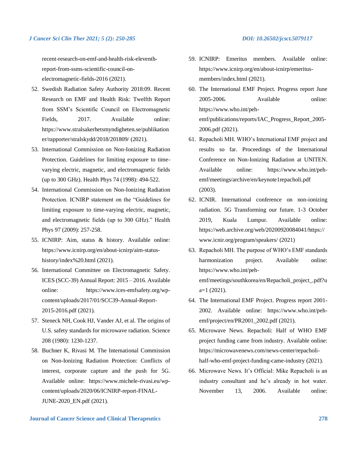recent-research-on-emf-and-health-risk-eleventhreport-from-ssms-scientific-council-onelectromagnetic-fields-2016 (2021).

- 52. Swedish Radiation Safety Authority 2018:09. Recent Research on EMF and Health Risk: Twelfth Report from SSM's Scientific Council on Electromagnetic Fields, 2017. Available online: https://www.stralsakerhetsmyndigheten.se/publikation er/rapporter/stralskydd/2018/201809/ (2021).
- 53. International Commission on Non-Ionizing Radiation Protection. Guidelines for limiting exposure to timevarying electric, magnetic, and electromagnetic fields (up to 300 GHz). Health Phys 74 (1998): 494-522.
- 54. International Commission on Non-Ionizing Radiation Protection. ICNIRP statement on the "Guidelines for limiting exposure to time-varying electric, magnetic, and electromagnetic fields (up to 300 GHz)." Health Phys 97 (2009): 257-258.
- 55. ICNIRP: Aim, status & history. Available online: https://www.icnirp.org/en/about-icnirp/aim-statushistory/index%20.html (2021).
- 56. International Committee on Electromagnetic Safety. ICES (SCC-39) Annual Report: 2015 – 2016. Available online: https://www.ices-emfsafety.org/wpcontent/uploads/2017/01/SCC39-Annual-Report-2015-2016.pdf (2021).
- 57. Steneck NH, Cook HJ, Vander AJ, et al. The origins of U.S. safety standards for microwave radiation. Science 208 (1980): 1230-1237.
- 58. Buchner K, Rivasi M. The International Commission on Non-Ionizing Radiation Protection: Conflicts of interest, corporate capture and the push for 5G. Available online: https://www.michele-rivasi.eu/wpcontent/uploads/2020/06/ICNIRP-report-FINAL-JUNE-2020\_EN.pdf (2021).
- 59. ICNIRP: Emeritus members. Available online: https://www.icnirp.org/en/about-icnirp/emeritusmembers/index.html (2021).
- 60. The International EMF Project. Progress report June 2005-2006. Available online: https://www.who.int/pehemf/publications/reports/IAC\_Progress\_Report\_2005- 2006.pdf (2021).
- 61. Repacholi MH. WHO's International EMF project and results so far. Proceedings of the International Conference on Non-Ionizing Radiation at UNITEN. Available online: https://www.who.int/pehemf/meetings/archive/en/keynote1repacholi.pdf (2003).
- 62. ICNIR. International conference on non-ionizing radiation. 5G Transforming our future. 1-3 October 2019, Kuala Lumpur. Available online: https://web.archive.org/web/20200920084041/https:// www.icnir.org/program/speakers/ (2021)
- 63. Repacholi MH. The purpose of WHO's EMF standards harmonization project. Available online: https://www.who.int/pehemf/meetings/southkorea/en/Repacholi\_project\_.pdf?u  $a=1$  (2021).
- 64. The International EMF Project. Progress report 2001- 2002. Available online: https://www.who.int/pehemf/project/en/PR2001\_2002.pdf (2021).
- 65. Microwave News. Repacholi: Half of WHO EMF project funding came from industry. Available online: https://microwavenews.com/news-center/repacholihalf-who-emf-project-funding-came-industry (2021).
- 66. Microwave News. It's Official: Mike Repacholi is an industry consultant and he's already in hot water. November 13, 2006. Available online: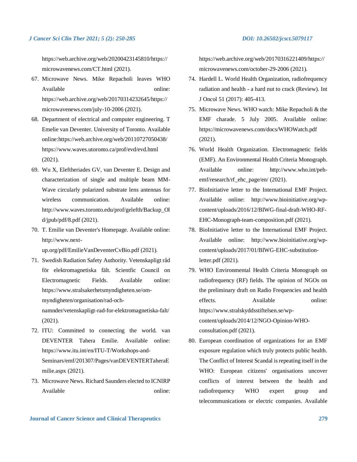https://web.archive.org/web/20200423145810/https:// microwavenews.com/CT.html (2021).

- 67. Microwave News. Mike Repacholi leaves WHO Available online: https://web.archive.org/web/20170314232645/https:// microwavenews.com/july-10-2006 (2021).
- 68. Department of electrical and computer engineering. T Emelie van Deventer. University of Toronto. Available online:https://web.archive.org/web/20110727050438/ https://www.waves.utoronto.ca/prof/evd/evd.html (2021).
- 69. Wu X, Eleftheriades GV, van Deventer E. Design and characterization of single and multiple beam MM-Wave circularly polarized substrate lens antennas for wireless communication. Available online: http://www.waves.toronto.edu/prof/gelefth/Backup\_Ol  $d$ /jpub/pdf/8.pdf (2021).
- 70. T. Emilie van Deventer's Homepage. Available online: http://www.next-

up.org/pdf/EmilieVanDeventerCvBio.pdf (2021).

- 71. Swedish Radiation Safety Authority. Vetenskapligt råd för elektromagnetiska fält. Scientfic Council on Electromagnetic Fields. Available online: https://www.stralsakerhetsmyndigheten.se/ommyndigheten/organisation/rad-ochnamnder/vetenskapligt-rad-for-elektromagnetiska-falt/ (2021).
- 72. ITU: Committed to connecting the world. van DEVENTER Tahera Emilie. Available online: https://www.itu.int/en/ITU-T/Workshops-and-Seminars/emf/201307/Pages/vanDEVENTERTaheraE milie.aspx (2021).
- 73. Microwave News. Richard Saunders elected to ICNIRP Available online:

https://web.archive.org/web/20170316221409/https:// microwavenews.com/october-29-2006 (2021).

- 74. Hardell L. World Health Organization, radiofrequency radiation and health - a hard nut to crack (Review). Int J Oncol 51 (2017): 405-413.
- 75. Microwave News. WHO watch: Mike Repacholi & the EMF charade. 5 July 2005. Available online: https://microwavenews.com/docs/WHOWatch.pdf (2021).
- 76. World Health Organization. Electromagnetic fields (EMF). An Environmental Health Criteria Monograph. Available online: http://www.who.int/pehemf/research/rf\_ehc\_page/en/ (2021).
- 77. BioInitiative letter to the International EMF Project. Available online: http://www.bioinitiative.org/wpcontent/uploads/2016/12/BIWG-final-draft-WHO-RF-EHC-Monograph-team-composition.pdf (2021).
- 78. BioInitiative letter to the International EMF Project. Available online: http://www.bioinitiative.org/wpcontent/uploads/2017/01/BIWG-EHC-substitutionletter.pdf (2021).
- 79. WHO Environmental Health Criteria Monograph on radiofrequency (RF) fields. The opinion of NGOs on the preliminary draft on Radio Frequencies and health effects. Available online: https://www.stralskyddsstiftelsen.se/wpcontent/uploads/2014/12/NGO-Opinion-WHOconsultation.pdf (2021).
- 80. European coordination of organizations for an EMF exposure regulation which truly protects public health. The Conflict of Interest Scandal is repeating itself in the WHO: European citizens' organisations uncover conflicts of interest between the health and radiofrequency WHO expert group and telecommunications or electric companies. Available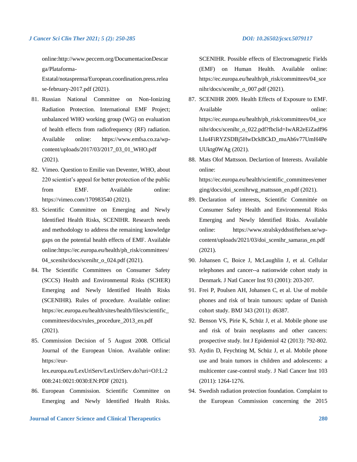online:http://www.peccem.org/DocumentacionDescar ga/Plataforma-

Estatal/notasprensa/European.coordination.press.relea se-february-2017.pdf (2021).

- 81. Russian National Committee on Non-Ionizing Radiation Protection. International EMF Project; unbalanced WHO working group (WG) on evaluation of health effects from radiofrequency (RF) radiation. Available online: https://www.emfsa.co.za/wpcontent/uploads/2017/03/2017\_03\_01\_WHO.pdf (2021).
- 82. Vimeo. Question to Emilie van Deventer, WHO, about 220 scientist's appeal for better protection of the public from EMF. Available online: https://vimeo.com/170983540 (2021).
- 83. Scientific Committee on Emerging and Newly Identified Health Risks, SCENIHR. Research needs and methodology to address the remaining knowledge gaps on the potential health effects of EMF. Available online:https://ec.europa.eu/health/ph\_risk/committees/ 04\_scenihr/docs/scenihr\_o\_024.pdf (2021).
- 84. The Scientific Committees on Consumer Safety (SCCS) Health and Environmental Risks (SCHER) Emerging and Newly Identified Health Risks (SCENIHR). Rules of procedure. Available online: https://ec.europa.eu/health/sites/health/files/scientific\_ committees/docs/rules\_procedure\_2013\_en.pdf (2021).
- 85. Commission Decision of 5 August 2008. Official Journal of the European Union. Available online: https://eurlex.europa.eu/LexUriServ/LexUriServ.do?uri=OJ:L:2

008:241:0021:0030:EN:PDF (2021).

86. European Commission. Scientific Committee on Emerging and Newly Identified Health Risks.

**Journal of Cancer Science and Clinical Therapeutics 280**

SCENIHR. Possible effects of Electromagnetic Fields (EMF) on Human Health. Available online: https://ec.europa.eu/health/ph\_risk/committees/04\_sce nihr/docs/scenihr\_o\_007.pdf (2021).

- 87. SCENIHR 2009. Health Effects of Exposure to EMF. Available online: https://ec.europa.eu/health/ph\_risk/committees/04\_sce nihr/docs/scenihr\_o\_022.pdf?fbclid=IwAR2eEiZadf96 LIu4FiRYZSDBj5HwDckBCkD\_muAh6v77UmH4Pe UUktg0WAg (2021).
- 88. Mats Olof Mattsson. Declartion of Interests. Available online:

https://ec.europa.eu/health/scientific\_committees/emer ging/docs/doi\_scenihrwg\_mattsson\_en.pdf (2021).

- 89. Declaration of interests, Scientific Committée on Consumer Safety Health and Environmental Risks Emerging and Newly Identified Risks. Available online: https://www.stralskyddsstiftelsen.se/wpcontent/uploads/2021/03/doi\_scenihr\_samaras\_en.pdf (2021).
- 90. Johansen C, Boice J, McLaughlin J, et al. Cellular telephones and cancer--a nationwide cohort study in Denmark. J Natl Cancer Inst 93 (2001): 203-207.
- 91. Frei P, Poulsen AH, Johansen C, et al. Use of mobile phones and risk of brain tumours: update of Danish cohort study. BMJ 343 (2011): d6387.
- 92. Benson VS, Pirie K, Schüz J, et al. Mobile phone use and risk of brain neoplasms and other cancers: prospective study. Int J Epidemiol 42 (2013): 792-802.
- 93. Aydin D, Feychting M, Schüz J, et al. Mobile phone use and brain tumors in children and adolescents: a multicenter case-control study. J Natl Cancer Inst 103 (2011): 1264-1276.
- 94. Swedish radiation protection foundation. Complaint to the European Commission concerning the 2015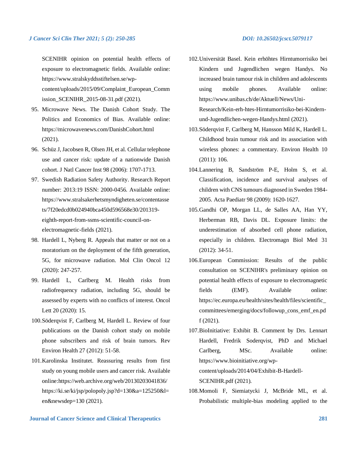SCENIHR opinion on potential health effects of exposure to electromagnetic fields. Available online: https://www.stralskyddsstiftelsen.se/wpcontent/uploads/2015/09/Complaint\_European\_Comm ission\_SCENIHR\_2015-08-31.pdf (2021).

- 95. Microwave News. The Danish Cohort Study. The Politics and Economics of Bias. Available online: https://microwavenews.com/DanishCohort.html (2021).
- 96. Schüz J, Jacobsen R, Olsen JH, et al. Cellular telephone use and cancer risk: update of a nationwide Danish cohort. J Natl Cancer Inst 98 (2006): 1707-1713.
- 97. Swedish Radiation Safety Authority. Research Report number: 2013:19 ISSN: 2000-0456. Available online: https://www.stralsakerhetsmyndigheten.se/contentasse ts/7f20edcd0b024940bca450d596568e30/201319 eighth-report-from-ssms-scientific-council-onelectromagnetic-fields (2021).
- 98. Hardell L, Nyberg R. Appeals that matter or not on a moratorium on the deployment of the fifth generation, 5G, for microwave radiation. Mol Clin Oncol 12 (2020): 247-257.
- 99. Hardell L, Carlberg M. Health risks from radiofrequency radiation, including 5G, should be assessed by experts with no conflicts of interest. Oncol Lett 20 (2020): 15.
- 100.Söderqvist F, Carlberg M, Hardell L. Review of four publications on the Danish cohort study on mobile phone subscribers and risk of brain tumors. Rev Environ Health 27 (2012): 51-58.
- 101.Karolinska Institutet. Reassuring results from first study on young mobile users and cancer risk. Available online:https://web.archive.org/web/20130203041836/ https://ki.se/ki/jsp/polopoly.jsp?d=130&a=125250&l= en&newsdep=130 (2021).

- 102.Universität Basel. Kein erhöhtes Hirntumorrisiko bei Kindern und Jugendlichen wegen Handys. No increased brain tumour risk in children and adolescents using mobile phones. Available online: https://www.unibas.ch/de/Aktuell/News/Uni-Research/Kein-erh-htes-Hirntumorrisiko-bei-Kindernund-Jugendlichen-wegen-Handys.html (2021).
- 103.Söderqvist F, Carlberg M, Hansson Mild K, Hardell L. Childhood brain tumour risk and its association with wireless phones: a commentary. Environ Health 10 (2011): 106.
- 104.Lannering B, Sandström P-E, Holm S, et al. Classification, incidence and survival analyses of children with CNS tumours diagnosed in Sweden 1984- 2005. Acta Paediatr 98 (2009): 1620-1627.
- 105.Gandhi OP, Morgan LL, de Salles AA, Han YY, Herberman RB, Davis DL. Exposure limits: the underestimation of absorbed cell phone radiation, especially in children. Electromagn Biol Med 31 (2012): 34-51.
- 106.European Commission: Results of the public consultation on SCENIHR's preliminary opinion on potential health effects of exposure to electromagnetic fields (EMF). Available online: https://ec.europa.eu/health/sites/health/files/scientific\_ committees/emerging/docs/followup\_cons\_emf\_en.pd f (2021).
- 107.BioInitiative: Exhibit B. Comment by Drs. Lennart Hardell, Fredrik Soderqvist, PhD and Michael Carlberg, MSc. Available online: https://www.bioinitiative.org/wpcontent/uploads/2014/04/Exhibit-B-Hardell-SCENIHR.pdf (2021).
- 108.Momoli F, Siemiatycki J, McBride ML, et al. Probabilistic multiple-bias modeling applied to the

**Journal of Cancer Science and Clinical Therapeutics 281**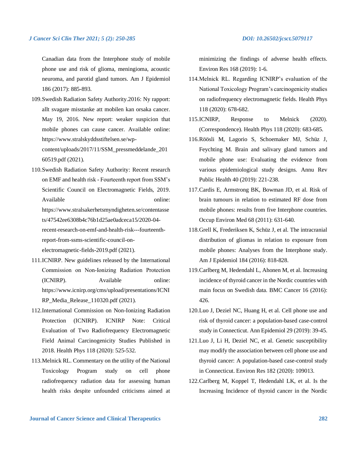Canadian data from the Interphone study of mobile phone use and risk of glioma, meningioma, acoustic neuroma, and parotid gland tumors. Am J Epidemiol 186 (2017): 885-893.

- 109.Swedish Radiation Safety Authority.2016: Ny rapport: allt svagare misstanke att mobilen kan orsaka cancer. May 19, 2016. New report: weaker suspicion that mobile phones can cause cancer. Available online: https://www.stralskyddsstiftelsen.se/wpcontent/uploads/2017/11/SSM\_pressmeddelande\_201 60519.pdf (2021).
- 110.Swedish Radiation Safety Authority: Recent research on EMF and health risk - Fourteenth report from SSM's Scientific Council on Electromagnetic Fields, 2019. Available online: https://www.stralsakerhetsmyndigheten.se/contentasse ts/47542ee6308b4c76b1d25ae0adceca15/2020-04 recent-research-on-emf-and-health-risk---fourteenthreport-from-ssms-scientific-council-onelectromagnetic-fields-2019.pdf (2021).
- 111.ICNIRP. New guidelines released by the International Commission on Non‐Ionizing Radiation Protection (ICNIRP). Available online: https://www.icnirp.org/cms/upload/presentations/ICNI RP\_Media\_Release\_110320.pdf (2021).
- 112.International Commission on Non-Ionizing Radiation Protection (ICNIRP). ICNIRP Note: Critical Evaluation of Two Radiofrequency Electromagnetic Field Animal Carcinogenicity Studies Published in 2018. Health Phys 118 (2020): 525-532.
- 113.Melnick RL. Commentary on the utility of the National Toxicology Program study on cell phone radiofrequency radiation data for assessing human health risks despite unfounded criticisms aimed at

minimizing the findings of adverse health effects. Environ Res 168 (2019): 1-6.

- 114.Melnick RL. Regarding ICNIRP's evaluation of the National Toxicology Program's carcinogenicity studies on radiofrequency electromagnetic fields. Health Phys 118 (2020): 678-682.
- 115.ICNIRP, Response to Melnick (2020). (Correspondence). Health Phys 118 (2020): 683-685.
- 116.Röösli M, Lagorio S, Schoemaker MJ, Schüz J, Feychting M. Brain and salivary gland tumors and mobile phone use: Evaluating the evidence from various epidemiological study designs. Annu Rev Public Health 40 (2019): 221-238.
- 117.Cardis E, Armstrong BK, Bowman JD, et al. Risk of brain tumours in relation to estimated RF dose from mobile phones: results from five Interphone countries. Occup Environ Med 68 (2011): 631-640.
- 118.Grell K, Frederiksen K, Schüz J, et al. The intracranial distribution of gliomas in relation to exposure from mobile phones: Analyses from the Interphone study. Am J Epidemiol 184 (2016): 818-828.
- 119.Carlberg M, Hedendahl L, Ahonen M, et al. Increasing incidence of thyroid cancer in the Nordic countries with main focus on Swedish data. BMC Cancer 16 (2016): 426.
- 120.Luo J, Deziel NC, Huang H, et al. Cell phone use and risk of thyroid cancer: a population-based case-control study in Connecticut. Ann Epidemiol 29 (2019): 39-45.
- 121.Luo J, Li H, Deziel NC, et al. Genetic susceptibility may modify the association between cell phone use and thyroid cancer: A population-based case-control study in Connecticut. Environ Res 182 (2020): 109013.
- 122.Carlberg M, Koppel T, Hedendahl LK, et al. Is the Increasing Incidence of thyroid cancer in the Nordic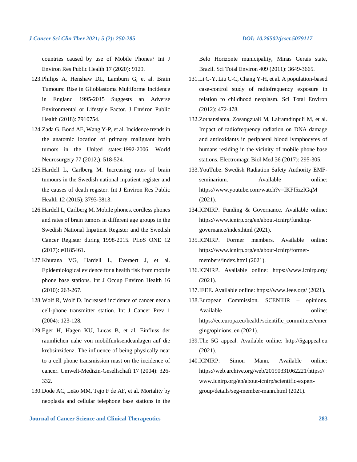countries caused by use of Mobile Phones? Int J Environ Res Public Health 17 (2020): 9129.

- 123.Philips A, Henshaw DL, Lamburn G, et al. Brain Tumours: Rise in Glioblastoma Multiforme Incidence in England 1995-2015 Suggests an Adverse Environmental or Lifestyle Factor. J Environ Public Health (2018): 7910754.
- 124.Zada G, Bond AE, Wang Y-P, et al. Incidence trends in the anatomic location of primary malignant brain tumors in the United states:1992-2006. World Neurosurgery 77 (2012;): 518-524.
- 125.Hardell L, Carlberg M. Increasing rates of brain tumours in the Swedish national inpatient register and the causes of death register. Int J Environ Res Public Health 12 (2015): 3793-3813.
- 126.Hardell L, Carlberg M. Mobile phones, cordless phones and rates of brain tumors in different age groups in the Swedish National Inpatient Register and the Swedish Cancer Register during 1998-2015. PLoS ONE 12 (2017): e0185461.
- 127.Khurana VG, Hardell L, Everaert J, et al. Epidemiological evidence for a health risk from mobile phone base stations. Int J Occup Environ Health 16 (2010): 263-267.
- 128.Wolf R, Wolf D. Increased incidence of cancer near a cell-phone transmitter station. Int J Cancer Prev 1 (2004): 123-128.
- 129.Eger H, Hagen KU, Lucas B, et al. Einfluss der raumlichen nahe von mobilfunksendeanlagen auf die krebsinzidenz. The influence of being physically near to a cell phone transmission mast on the incidence of cancer. Umwelt-Medizin-Gesellschaft 17 (2004): 326- 332.
- 130.Dode AC, Leão MM, Tejo F de AF, et al. Mortality by neoplasia and cellular telephone base stations in the

**Journal of Cancer Science and Clinical Therapeutics 283**

Belo Horizonte municipality, Minas Gerais state, Brazil. Sci Total Environ 409 (2011): 3649-3665.

- 131.Li C-Y, Liu C-C, Chang Y-H, et al. A population-based case-control study of radiofrequency exposure in relation to childhood neoplasm. Sci Total Environ (2012): 472-478.
- 132.Zothansiama, Zosangzuali M, Lalramdinpuii M, et al. Impact of radiofrequency radiation on DNA damage and antioxidants in peripheral blood lymphocytes of humans residing in the vicinity of mobile phone base stations. Electromagn Biol Med 36 (2017): 295-305.
- 133.YouTube. Swedish Radiation Safety Authority EMFseminarium. Available online: https://www.youtube.com/watch?v=IKFf5zzlGqM (2021).
- 134.ICNIRP. Funding & Governance. Available online: https://www.icnirp.org/en/about-icnirp/fundinggovernance/index.html (2021).
- 135.ICNIRP. Former members. Available online: https://www.icnirp.org/en/about-icnirp/formermembers/index.html (2021).
- 136.ICNIRP. Available online: https://www.icnirp.org/ (2021).
- 137.IEEE. Available online: https://www.ieee.org/ (2021).
- 138.European Commission. SCENIHR opinions. Available online: https://ec.europa.eu/health/scientific\_committees/emer ging/opinions\_en (2021).
- 139.The 5G appeal. Available online: http://5gappeal.eu (2021).
- 140.ICNIRP: Simon Mann. Available online: https://web.archive.org/web/20190331062221/https:// www.icnirp.org/en/about-icnirp/scientific-expertgroup/details/seg-member-mann.html (2021).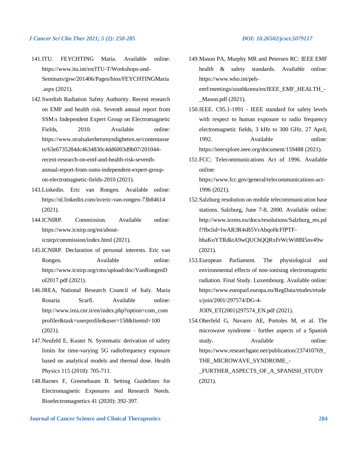- 141.ITU. FEYCHTING Maria. Available online: https://www.itu.int/en/ITU-T/Workshops-and-Seminars/gsw/201406/Pages/bios/FEYCHTINGMaria .aspx (2021).
- 142.Swedish Radiation Safety Authority. Recent research on EMF and health risk. Seventh annual report from SSM:s Independent Expert Group on Electromagnetic Fields. 2010. Available online: https://www.stralsakerhetsmyndigheten.se/contentasse ts/63e6735284dc4634830c4dd6003d9b07/201044 recent-research-on-emf-and-health-risk-seventhannual-report-from-ssms-independent-expert-groupon-electromagnetic-fields-2010 (2021).
- 143.Linkedin. Eric van Rongen. Available online: https://nl.linkedin.com/in/eric-van-rongen-73b84614 (2021).
- 144.ICNIRP. Commission. Available online: https://www.icnirp.org/en/abouticnirp/commission/index.html (2021).
- 145.ICNIRP. Declaration of personal interests. Eric van Rongen. Available online: https://www.icnirp.org/cms/upload/doc/VanRongenD oI2017.pdf (2021).
- 146.IREA, National Research Council of Italy. Maria Rosaria Scarfi. Available online: http://www.irea.cnr.it/en/index.php?option=com\_com profiler&task=userprofile&user=158&Itemid=100 (2021).
- 147.Neufeld E, Kuster N. Systematic derivation of safety limits for time-varying 5G radiofrequency exposure based on analytical models and thermal dose. Health Physics 115 (2018): 705-711.
- 148.Barnes F, Greenebaum B. Setting Guidelines for Electromagnetic Exposures and Research Needs. Bioelectromagnetics 41 (2020): 392-397.
- 
- 149.Mason PA, Murphy MR and Petersen RC: IEEE EMF health & safety standards. Available online: https://www.who.int/pehemf/meetings/southkorea/en/IEEE\_EMF\_HEALTH\_-

\_Mason.pdf (2021).

- 150.IEEE. C95.1-1991 IEEE standard for safety levels with respect to human exposure to radio frequency electromagnetic fields, 3 kHz to 300 GHz. 27 April, 1992. Available online: https://ieeexplore.ieee.org/document/159488 (2021).
- 151.FCC: Telecommunications Act of 1996. Available online: https://www.fcc.gov/general/telecommunications-act-1996 (2021).
- 152.Salzburg resolution on mobile telecommunication base stations. Salzburg, June 7-8, 2000. Available online: http://www.icems.eu/docs/resolutions/Salzburg\_res.pd f?fbclid=IwAR3R4sB5VrAbqoHcFfPTFhbaKoYTRdktA9wQUChQQRxFrWcWi8Bl5nv49w (2021).
- 153.European Parliament. The physiological and environmental effects of non-ionising electromagnetic radiation. Final Study. Luxembourg. Available online: https://www.europarl.europa.eu/RegData/etudes/etude s/join/2001/297574/DG-4-

JOIN\_ET(2001)297574\_EN.pdf (2021).

- 154.Oberfeld G, Navarro AE, Portoles M, et al. The microwave syndrome - further aspects of a Spanish study. Available online: https://www.researchgate.net/publication/237410769\_ THE\_MICROWAVE\_SYNDROME -FURTHER ASPECTS OF A SPANISH STUDY
	- (2021).

**Journal of Cancer Science and Clinical Therapeutics 284**